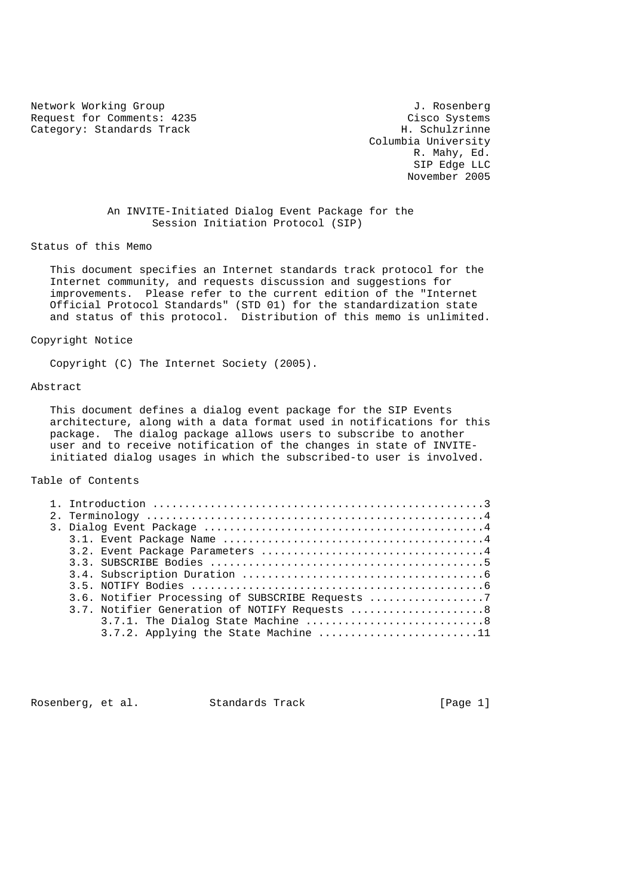Network Working Group 3. 2008 1. Rosenberg J. Rosenberg Request for Comments: 4235 Cisco Systems<br>
Category: Standards Track Category: Standards Track Category: Standards Track

 Columbia University R. Mahy, Ed. SIP Edge LLC November 2005

# An INVITE-Initiated Dialog Event Package for the Session Initiation Protocol (SIP)

### Status of this Memo

 This document specifies an Internet standards track protocol for the Internet community, and requests discussion and suggestions for improvements. Please refer to the current edition of the "Internet Official Protocol Standards" (STD 01) for the standardization state and status of this protocol. Distribution of this memo is unlimited.

### Copyright Notice

Copyright (C) The Internet Society (2005).

### Abstract

 This document defines a dialog event package for the SIP Events architecture, along with a data format used in notifications for this package. The dialog package allows users to subscribe to another user and to receive notification of the changes in state of INVITE initiated dialog usages in which the subscribed-to user is involved.

### Table of Contents

| 3.6. Notifier Processing of SUBSCRIBE Requests |
|------------------------------------------------|
| 3.7. Notifier Generation of NOTIFY Requests 8  |
|                                                |
| 3.7.2. Applying the State Machine 11           |
|                                                |

Rosenberg, et al. Standards Track [Page 1]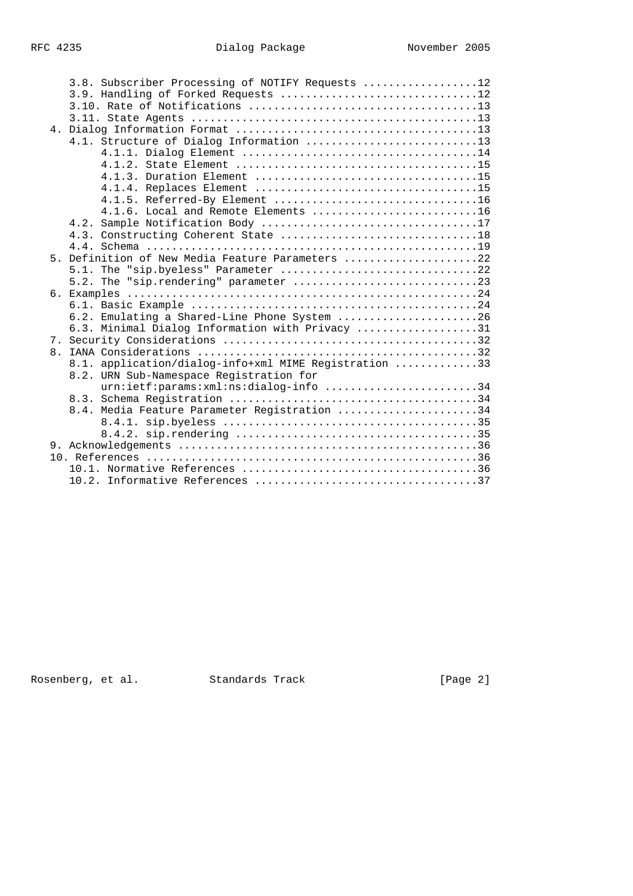|  |  | 3.8. Subscriber Processing of NOTIFY Requests 12      |  |  |
|--|--|-------------------------------------------------------|--|--|
|  |  | 3.9. Handling of Forked Requests 12                   |  |  |
|  |  |                                                       |  |  |
|  |  |                                                       |  |  |
|  |  |                                                       |  |  |
|  |  | 4.1. Structure of Dialog Information 13               |  |  |
|  |  |                                                       |  |  |
|  |  |                                                       |  |  |
|  |  | 4.1.3. Duration Element 15                            |  |  |
|  |  |                                                       |  |  |
|  |  | 4.1.5. Referred-By Element 16                         |  |  |
|  |  | 4.1.6. Local and Remote Elements 16                   |  |  |
|  |  |                                                       |  |  |
|  |  |                                                       |  |  |
|  |  |                                                       |  |  |
|  |  | 5. Definition of New Media Feature Parameters 22      |  |  |
|  |  | 5.1. The "sip.byeless" Parameter 22                   |  |  |
|  |  |                                                       |  |  |
|  |  |                                                       |  |  |
|  |  |                                                       |  |  |
|  |  | 6.2. Emulating a Shared-Line Phone System 26          |  |  |
|  |  | 6.3. Minimal Dialog Information with Privacy 31       |  |  |
|  |  |                                                       |  |  |
|  |  |                                                       |  |  |
|  |  | 8.1. application/dialog-info+xml MIME Registration 33 |  |  |
|  |  | 8.2. URN Sub-Namespace Registration for               |  |  |
|  |  | urn:ietf:params:xml:ns:dialog-info 34                 |  |  |
|  |  |                                                       |  |  |
|  |  | 8.4. Media Feature Parameter Registration 34          |  |  |
|  |  |                                                       |  |  |
|  |  |                                                       |  |  |
|  |  |                                                       |  |  |
|  |  |                                                       |  |  |
|  |  |                                                       |  |  |
|  |  |                                                       |  |  |
|  |  |                                                       |  |  |

Rosenberg, et al. Standards Track [Page 2]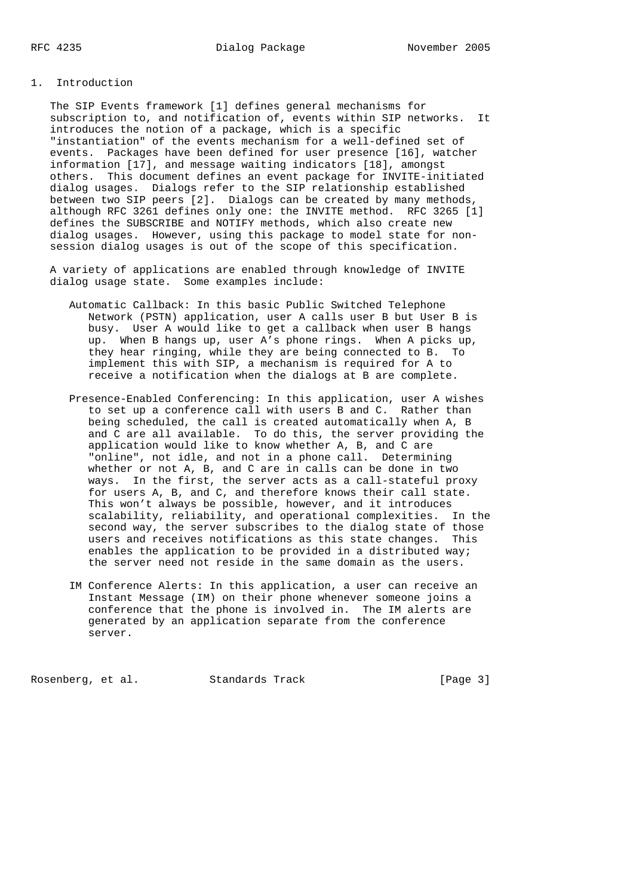# 1. Introduction

 The SIP Events framework [1] defines general mechanisms for subscription to, and notification of, events within SIP networks. It introduces the notion of a package, which is a specific "instantiation" of the events mechanism for a well-defined set of events. Packages have been defined for user presence [16], watcher information [17], and message waiting indicators [18], amongst others. This document defines an event package for INVITE-initiated dialog usages. Dialogs refer to the SIP relationship established between two SIP peers [2]. Dialogs can be created by many methods, although RFC 3261 defines only one: the INVITE method. RFC 3265 [1] defines the SUBSCRIBE and NOTIFY methods, which also create new dialog usages. However, using this package to model state for non session dialog usages is out of the scope of this specification.

 A variety of applications are enabled through knowledge of INVITE dialog usage state. Some examples include:

- Automatic Callback: In this basic Public Switched Telephone Network (PSTN) application, user A calls user B but User B is busy. User A would like to get a callback when user B hangs up. When B hangs up, user A's phone rings. When A picks up, they hear ringing, while they are being connected to B. To implement this with SIP, a mechanism is required for A to receive a notification when the dialogs at B are complete.
- Presence-Enabled Conferencing: In this application, user A wishes to set up a conference call with users B and C. Rather than being scheduled, the call is created automatically when A, B and C are all available. To do this, the server providing the application would like to know whether A, B, and C are "online", not idle, and not in a phone call. Determining whether or not A, B, and C are in calls can be done in two ways. In the first, the server acts as a call-stateful proxy for users A, B, and C, and therefore knows their call state. This won't always be possible, however, and it introduces scalability, reliability, and operational complexities. In the second way, the server subscribes to the dialog state of those users and receives notifications as this state changes. This enables the application to be provided in a distributed way; the server need not reside in the same domain as the users.
- IM Conference Alerts: In this application, a user can receive an Instant Message (IM) on their phone whenever someone joins a conference that the phone is involved in. The IM alerts are generated by an application separate from the conference server.

Rosenberg, et al. Standards Track [Page 3]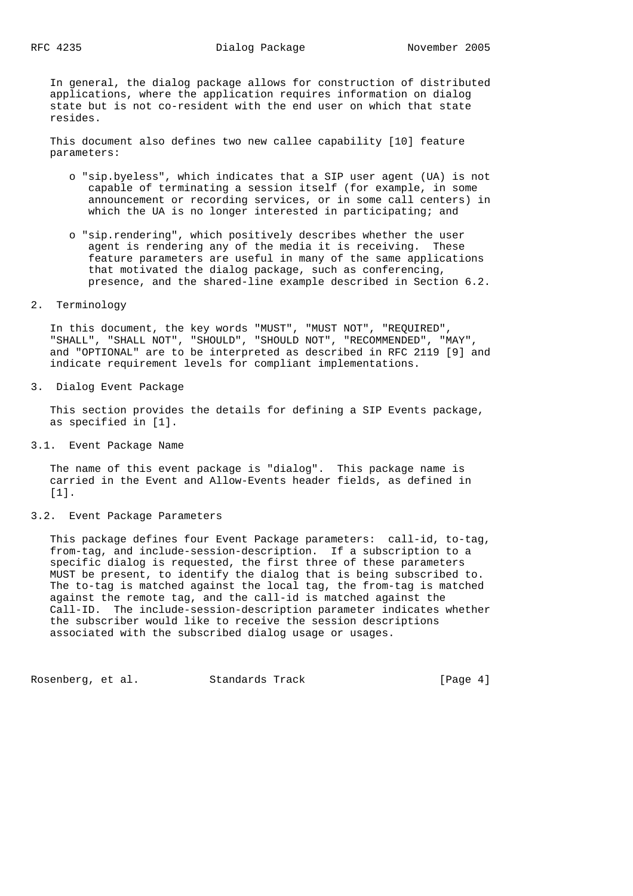In general, the dialog package allows for construction of distributed applications, where the application requires information on dialog state but is not co-resident with the end user on which that state resides.

 This document also defines two new callee capability [10] feature parameters:

- o "sip.byeless", which indicates that a SIP user agent (UA) is not capable of terminating a session itself (for example, in some announcement or recording services, or in some call centers) in which the UA is no longer interested in participating; and
- o "sip.rendering", which positively describes whether the user agent is rendering any of the media it is receiving. These feature parameters are useful in many of the same applications that motivated the dialog package, such as conferencing, presence, and the shared-line example described in Section 6.2.
- 2. Terminology

 In this document, the key words "MUST", "MUST NOT", "REQUIRED", "SHALL", "SHALL NOT", "SHOULD", "SHOULD NOT", "RECOMMENDED", "MAY", and "OPTIONAL" are to be interpreted as described in RFC 2119 [9] and indicate requirement levels for compliant implementations.

3. Dialog Event Package

 This section provides the details for defining a SIP Events package, as specified in [1].

3.1. Event Package Name

 The name of this event package is "dialog". This package name is carried in the Event and Allow-Events header fields, as defined in [1].

3.2. Event Package Parameters

 This package defines four Event Package parameters: call-id, to-tag, from-tag, and include-session-description. If a subscription to a specific dialog is requested, the first three of these parameters MUST be present, to identify the dialog that is being subscribed to. The to-tag is matched against the local tag, the from-tag is matched against the remote tag, and the call-id is matched against the Call-ID. The include-session-description parameter indicates whether the subscriber would like to receive the session descriptions associated with the subscribed dialog usage or usages.

Rosenberg, et al. Standards Track [Page 4]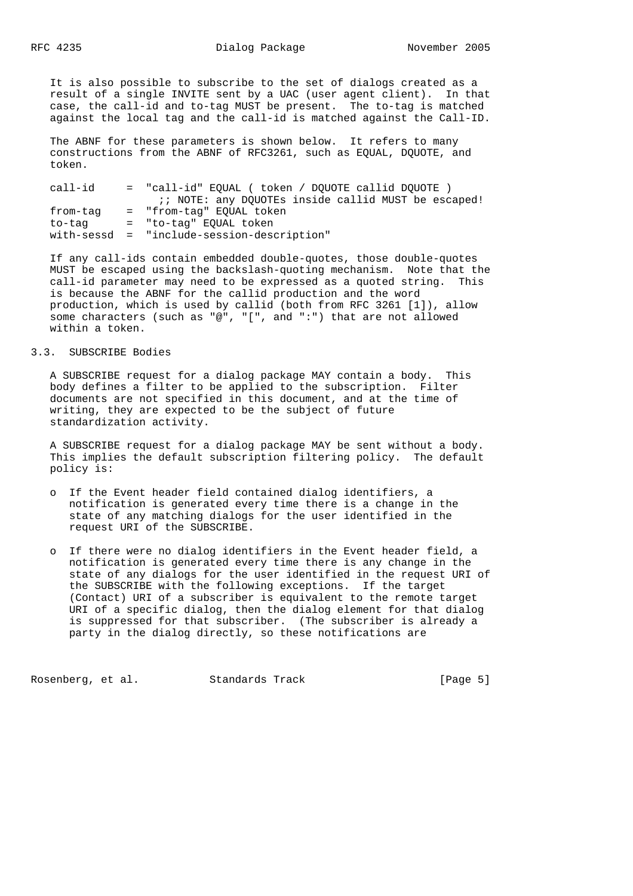It is also possible to subscribe to the set of dialogs created as a result of a single INVITE sent by a UAC (user agent client). In that case, the call-id and to-tag MUST be present. The to-tag is matched against the local tag and the call-id is matched against the Call-ID.

 The ABNF for these parameters is shown below. It refers to many constructions from the ABNF of RFC3261, such as EQUAL, DQUOTE, and token.

| call-id  | = "call-id" EOUAL ( token / DOUOTE callid DOUOTE )  |
|----------|-----------------------------------------------------|
|          | :: NOTE: any DOUOTEs inside callid MUST be escaped! |
| from-tag | = "from-taq" EOUAL token                            |
| to-tag   | = "to-taq" EQUAL token                              |
|          | with-sessd = "include-session-description"          |

 If any call-ids contain embedded double-quotes, those double-quotes MUST be escaped using the backslash-quoting mechanism. Note that the call-id parameter may need to be expressed as a quoted string. This is because the ABNF for the callid production and the word production, which is used by callid (both from RFC 3261 [1]), allow some characters (such as "@", "[", and ":") that are not allowed within a token.

# 3.3. SUBSCRIBE Bodies

 A SUBSCRIBE request for a dialog package MAY contain a body. This body defines a filter to be applied to the subscription. Filter documents are not specified in this document, and at the time of writing, they are expected to be the subject of future standardization activity.

 A SUBSCRIBE request for a dialog package MAY be sent without a body. This implies the default subscription filtering policy. The default policy is:

- o If the Event header field contained dialog identifiers, a notification is generated every time there is a change in the state of any matching dialogs for the user identified in the request URI of the SUBSCRIBE.
- o If there were no dialog identifiers in the Event header field, a notification is generated every time there is any change in the state of any dialogs for the user identified in the request URI of the SUBSCRIBE with the following exceptions. If the target (Contact) URI of a subscriber is equivalent to the remote target URI of a specific dialog, then the dialog element for that dialog is suppressed for that subscriber. (The subscriber is already a party in the dialog directly, so these notifications are

Rosenberg, et al. Standards Track [Page 5]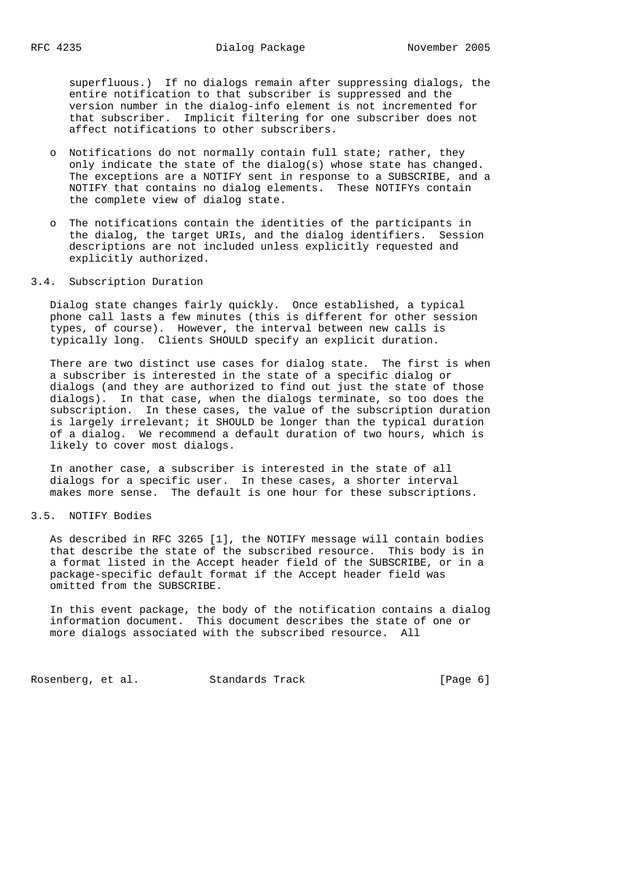superfluous.) If no dialogs remain after suppressing dialogs, the entire notification to that subscriber is suppressed and the version number in the dialog-info element is not incremented for that subscriber. Implicit filtering for one subscriber does not affect notifications to other subscribers.

- o Notifications do not normally contain full state; rather, they only indicate the state of the dialog(s) whose state has changed. The exceptions are a NOTIFY sent in response to a SUBSCRIBE, and a NOTIFY that contains no dialog elements. These NOTIFYs contain the complete view of dialog state.
- The notifications contain the identities of the participants in the dialog, the target URIs, and the dialog identifiers. Session descriptions are not included unless explicitly requested and explicitly authorized.
- 3.4. Subscription Duration

 Dialog state changes fairly quickly. Once established, a typical phone call lasts a few minutes (this is different for other session types, of course). However, the interval between new calls is typically long. Clients SHOULD specify an explicit duration.

 There are two distinct use cases for dialog state. The first is when a subscriber is interested in the state of a specific dialog or dialogs (and they are authorized to find out just the state of those dialogs). In that case, when the dialogs terminate, so too does the subscription. In these cases, the value of the subscription duration is largely irrelevant; it SHOULD be longer than the typical duration of a dialog. We recommend a default duration of two hours, which is likely to cover most dialogs.

 In another case, a subscriber is interested in the state of all dialogs for a specific user. In these cases, a shorter interval makes more sense. The default is one hour for these subscriptions.

### 3.5. NOTIFY Bodies

 As described in RFC 3265 [1], the NOTIFY message will contain bodies that describe the state of the subscribed resource. This body is in a format listed in the Accept header field of the SUBSCRIBE, or in a package-specific default format if the Accept header field was omitted from the SUBSCRIBE.

 In this event package, the body of the notification contains a dialog information document. This document describes the state of one or more dialogs associated with the subscribed resource. All

Rosenberg, et al. Standards Track [Page 6]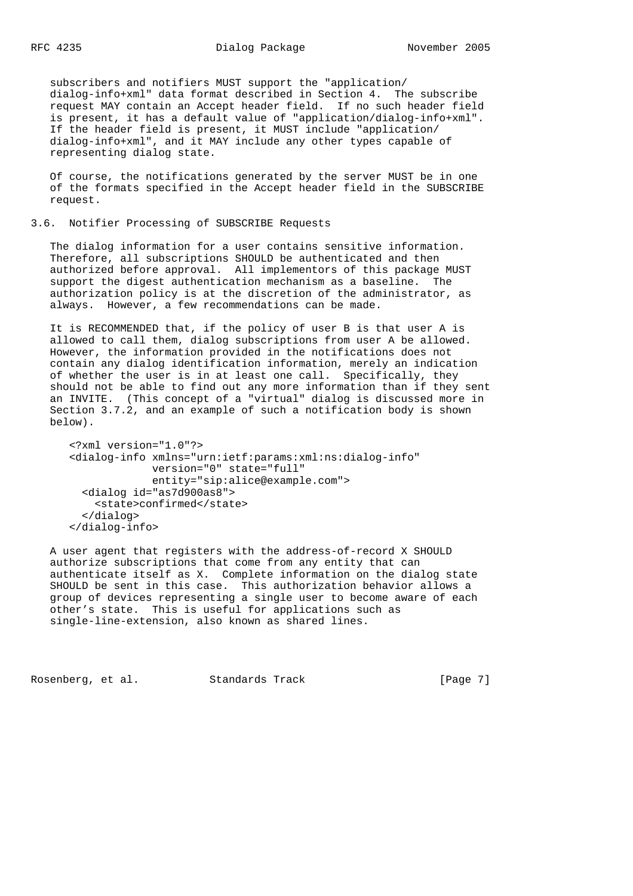subscribers and notifiers MUST support the "application/ dialog-info+xml" data format described in Section 4. The subscribe request MAY contain an Accept header field. If no such header field is present, it has a default value of "application/dialog-info+xml". If the header field is present, it MUST include "application/ dialog-info+xml", and it MAY include any other types capable of representing dialog state.

 Of course, the notifications generated by the server MUST be in one of the formats specified in the Accept header field in the SUBSCRIBE request.

## 3.6. Notifier Processing of SUBSCRIBE Requests

 The dialog information for a user contains sensitive information. Therefore, all subscriptions SHOULD be authenticated and then authorized before approval. All implementors of this package MUST support the digest authentication mechanism as a baseline. The authorization policy is at the discretion of the administrator, as always. However, a few recommendations can be made.

 It is RECOMMENDED that, if the policy of user B is that user A is allowed to call them, dialog subscriptions from user A be allowed. However, the information provided in the notifications does not contain any dialog identification information, merely an indication of whether the user is in at least one call. Specifically, they should not be able to find out any more information than if they sent an INVITE. (This concept of a "virtual" dialog is discussed more in Section 3.7.2, and an example of such a notification body is shown below).

```
 <?xml version="1.0"?>
 <dialog-info xmlns="urn:ietf:params:xml:ns:dialog-info"
              version="0" state="full"
              entity="sip:alice@example.com">
   <dialog id="as7d900as8">
     <state>confirmed</state>
   </dialog>
 </dialog-info>
```
 A user agent that registers with the address-of-record X SHOULD authorize subscriptions that come from any entity that can authenticate itself as X. Complete information on the dialog state SHOULD be sent in this case. This authorization behavior allows a group of devices representing a single user to become aware of each other's state. This is useful for applications such as single-line-extension, also known as shared lines.

Rosenberg, et al. Standards Track [Page 7]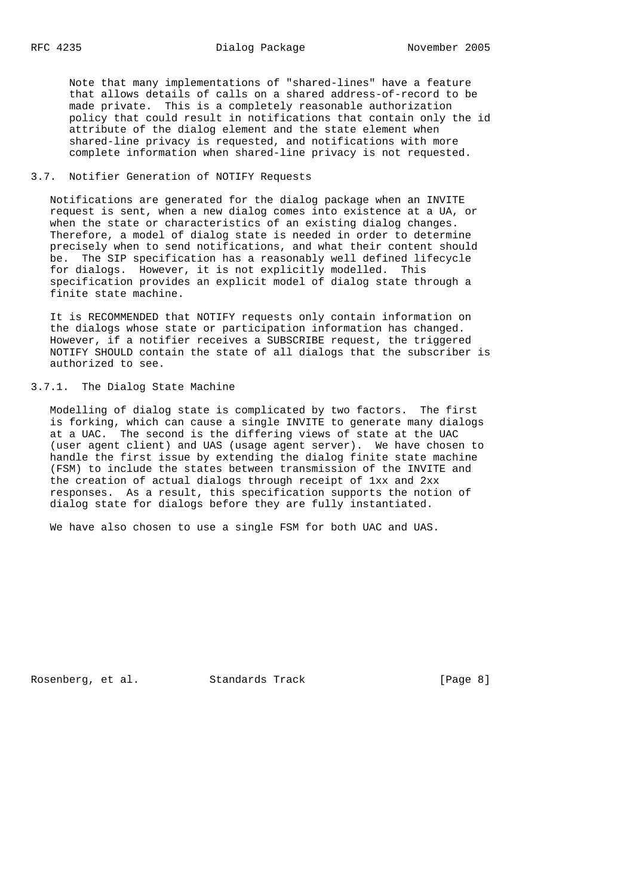Note that many implementations of "shared-lines" have a feature that allows details of calls on a shared address-of-record to be made private. This is a completely reasonable authorization policy that could result in notifications that contain only the id attribute of the dialog element and the state element when shared-line privacy is requested, and notifications with more complete information when shared-line privacy is not requested.

## 3.7. Notifier Generation of NOTIFY Requests

 Notifications are generated for the dialog package when an INVITE request is sent, when a new dialog comes into existence at a UA, or when the state or characteristics of an existing dialog changes. Therefore, a model of dialog state is needed in order to determine precisely when to send notifications, and what their content should be. The SIP specification has a reasonably well defined lifecycle for dialogs. However, it is not explicitly modelled. This specification provides an explicit model of dialog state through a finite state machine.

 It is RECOMMENDED that NOTIFY requests only contain information on the dialogs whose state or participation information has changed. However, if a notifier receives a SUBSCRIBE request, the triggered NOTIFY SHOULD contain the state of all dialogs that the subscriber is authorized to see.

### 3.7.1. The Dialog State Machine

 Modelling of dialog state is complicated by two factors. The first is forking, which can cause a single INVITE to generate many dialogs at a UAC. The second is the differing views of state at the UAC (user agent client) and UAS (usage agent server). We have chosen to handle the first issue by extending the dialog finite state machine (FSM) to include the states between transmission of the INVITE and the creation of actual dialogs through receipt of 1xx and 2xx responses. As a result, this specification supports the notion of dialog state for dialogs before they are fully instantiated.

We have also chosen to use a single FSM for both UAC and UAS.

Rosenberg, et al. Standards Track [Page 8]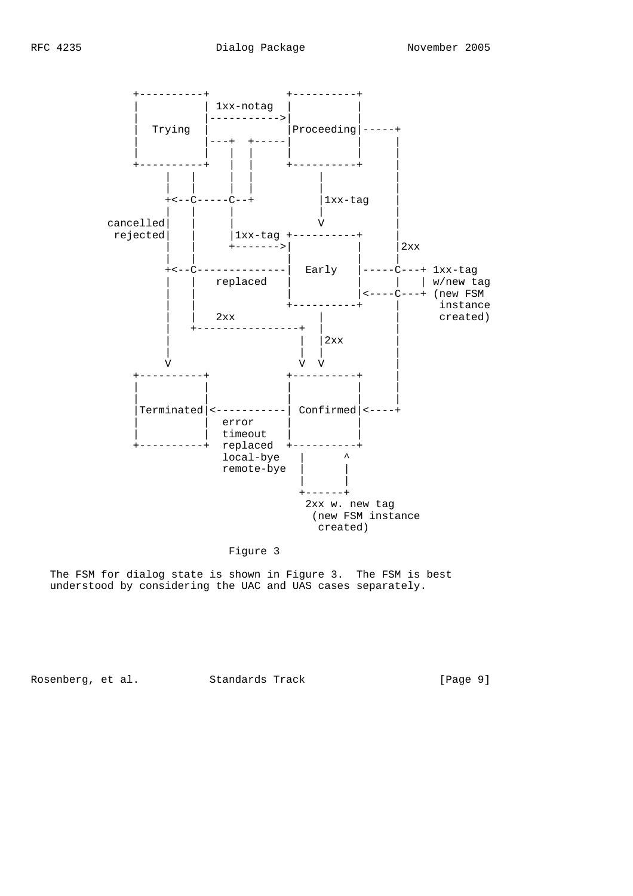

# Figure 3

 The FSM for dialog state is shown in Figure 3. The FSM is best understood by considering the UAC and UAS cases separately.

Rosenberg, et al. Standards Track [Page 9]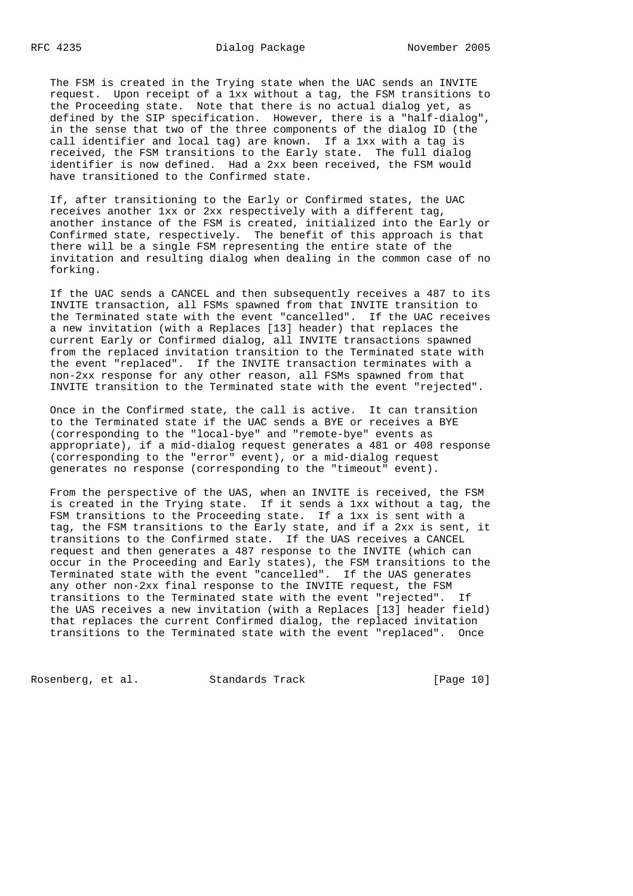The FSM is created in the Trying state when the UAC sends an INVITE request. Upon receipt of a 1xx without a tag, the FSM transitions to the Proceeding state. Note that there is no actual dialog yet, as defined by the SIP specification. However, there is a "half-dialog", in the sense that two of the three components of the dialog ID (the call identifier and local tag) are known. If a 1xx with a tag is received, the FSM transitions to the Early state. The full dialog identifier is now defined. Had a 2xx been received, the FSM would have transitioned to the Confirmed state.

 If, after transitioning to the Early or Confirmed states, the UAC receives another 1xx or 2xx respectively with a different tag, another instance of the FSM is created, initialized into the Early or Confirmed state, respectively. The benefit of this approach is that there will be a single FSM representing the entire state of the invitation and resulting dialog when dealing in the common case of no forking.

 If the UAC sends a CANCEL and then subsequently receives a 487 to its INVITE transaction, all FSMs spawned from that INVITE transition to the Terminated state with the event "cancelled". If the UAC receives a new invitation (with a Replaces [13] header) that replaces the current Early or Confirmed dialog, all INVITE transactions spawned from the replaced invitation transition to the Terminated state with the event "replaced". If the INVITE transaction terminates with a non-2xx response for any other reason, all FSMs spawned from that INVITE transition to the Terminated state with the event "rejected".

 Once in the Confirmed state, the call is active. It can transition to the Terminated state if the UAC sends a BYE or receives a BYE (corresponding to the "local-bye" and "remote-bye" events as appropriate), if a mid-dialog request generates a 481 or 408 response (corresponding to the "error" event), or a mid-dialog request generates no response (corresponding to the "timeout" event).

 From the perspective of the UAS, when an INVITE is received, the FSM is created in the Trying state. If it sends a 1xx without a tag, the FSM transitions to the Proceeding state. If a 1xx is sent with a tag, the FSM transitions to the Early state, and if a 2xx is sent, it transitions to the Confirmed state. If the UAS receives a CANCEL request and then generates a 487 response to the INVITE (which can occur in the Proceeding and Early states), the FSM transitions to the Terminated state with the event "cancelled". If the UAS generates any other non-2xx final response to the INVITE request, the FSM transitions to the Terminated state with the event "rejected". If the UAS receives a new invitation (with a Replaces [13] header field) that replaces the current Confirmed dialog, the replaced invitation transitions to the Terminated state with the event "replaced". Once

Rosenberg, et al. Standards Track [Page 10]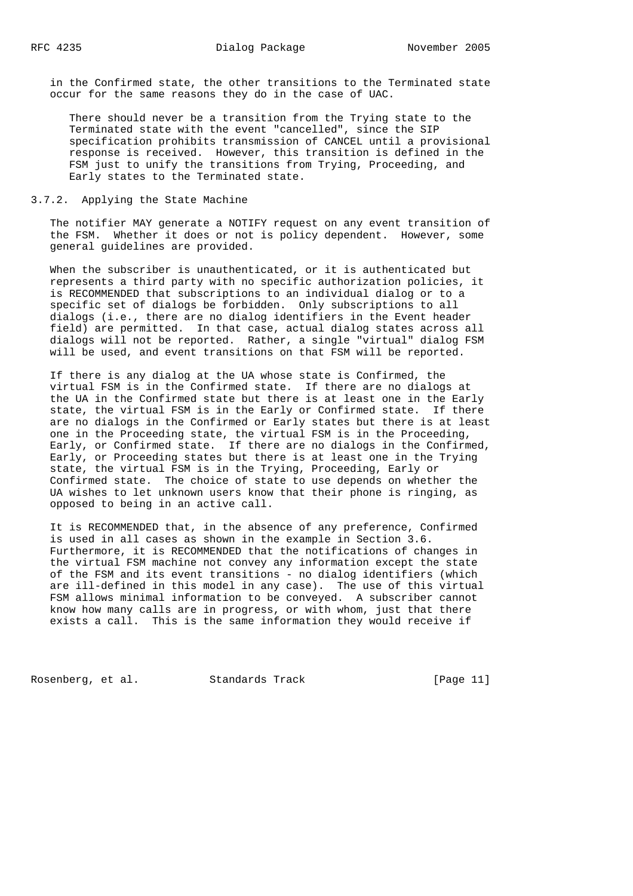in the Confirmed state, the other transitions to the Terminated state occur for the same reasons they do in the case of UAC.

 There should never be a transition from the Trying state to the Terminated state with the event "cancelled", since the SIP specification prohibits transmission of CANCEL until a provisional response is received. However, this transition is defined in the FSM just to unify the transitions from Trying, Proceeding, and Early states to the Terminated state.

## 3.7.2. Applying the State Machine

 The notifier MAY generate a NOTIFY request on any event transition of the FSM. Whether it does or not is policy dependent. However, some general guidelines are provided.

 When the subscriber is unauthenticated, or it is authenticated but represents a third party with no specific authorization policies, it is RECOMMENDED that subscriptions to an individual dialog or to a specific set of dialogs be forbidden. Only subscriptions to all dialogs (i.e., there are no dialog identifiers in the Event header field) are permitted. In that case, actual dialog states across all dialogs will not be reported. Rather, a single "virtual" dialog FSM will be used, and event transitions on that FSM will be reported.

 If there is any dialog at the UA whose state is Confirmed, the virtual FSM is in the Confirmed state. If there are no dialogs at the UA in the Confirmed state but there is at least one in the Early state, the virtual FSM is in the Early or Confirmed state. If there are no dialogs in the Confirmed or Early states but there is at least one in the Proceeding state, the virtual FSM is in the Proceeding, Early, or Confirmed state. If there are no dialogs in the Confirmed, Early, or Proceeding states but there is at least one in the Trying state, the virtual FSM is in the Trying, Proceeding, Early or Confirmed state. The choice of state to use depends on whether the UA wishes to let unknown users know that their phone is ringing, as opposed to being in an active call.

 It is RECOMMENDED that, in the absence of any preference, Confirmed is used in all cases as shown in the example in Section 3.6. Furthermore, it is RECOMMENDED that the notifications of changes in the virtual FSM machine not convey any information except the state of the FSM and its event transitions - no dialog identifiers (which are ill-defined in this model in any case). The use of this virtual FSM allows minimal information to be conveyed. A subscriber cannot know how many calls are in progress, or with whom, just that there exists a call. This is the same information they would receive if

Rosenberg, et al. Standards Track [Page 11]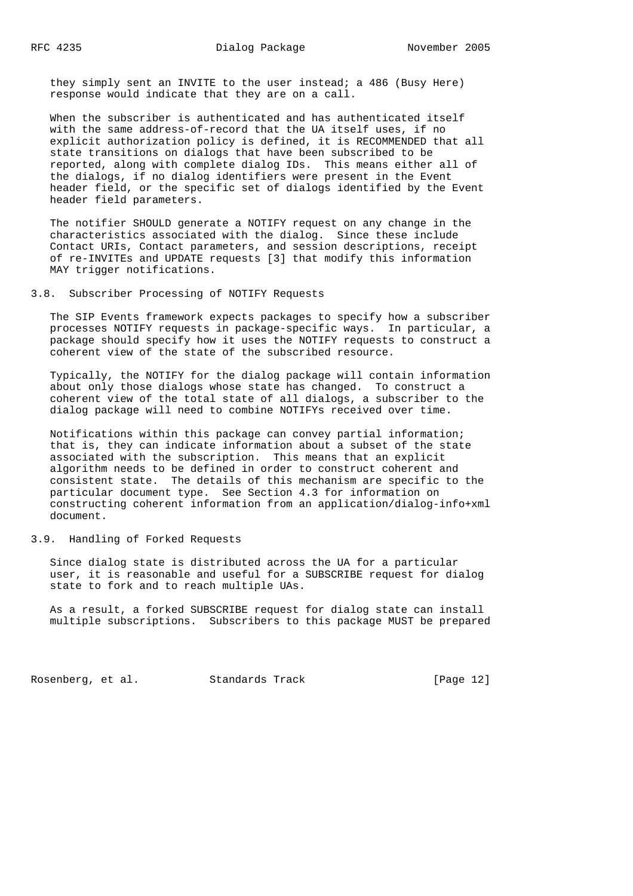they simply sent an INVITE to the user instead; a 486 (Busy Here) response would indicate that they are on a call.

 When the subscriber is authenticated and has authenticated itself with the same address-of-record that the UA itself uses, if no explicit authorization policy is defined, it is RECOMMENDED that all state transitions on dialogs that have been subscribed to be reported, along with complete dialog IDs. This means either all of the dialogs, if no dialog identifiers were present in the Event header field, or the specific set of dialogs identified by the Event header field parameters.

 The notifier SHOULD generate a NOTIFY request on any change in the characteristics associated with the dialog. Since these include Contact URIs, Contact parameters, and session descriptions, receipt of re-INVITEs and UPDATE requests [3] that modify this information MAY trigger notifications.

### 3.8. Subscriber Processing of NOTIFY Requests

 The SIP Events framework expects packages to specify how a subscriber processes NOTIFY requests in package-specific ways. In particular, a package should specify how it uses the NOTIFY requests to construct a coherent view of the state of the subscribed resource.

 Typically, the NOTIFY for the dialog package will contain information about only those dialogs whose state has changed. To construct a coherent view of the total state of all dialogs, a subscriber to the dialog package will need to combine NOTIFYs received over time.

 Notifications within this package can convey partial information; that is, they can indicate information about a subset of the state associated with the subscription. This means that an explicit algorithm needs to be defined in order to construct coherent and consistent state. The details of this mechanism are specific to the particular document type. See Section 4.3 for information on constructing coherent information from an application/dialog-info+xml document.

### 3.9. Handling of Forked Requests

 Since dialog state is distributed across the UA for a particular user, it is reasonable and useful for a SUBSCRIBE request for dialog state to fork and to reach multiple UAs.

 As a result, a forked SUBSCRIBE request for dialog state can install multiple subscriptions. Subscribers to this package MUST be prepared

Rosenberg, et al. Standards Track [Page 12]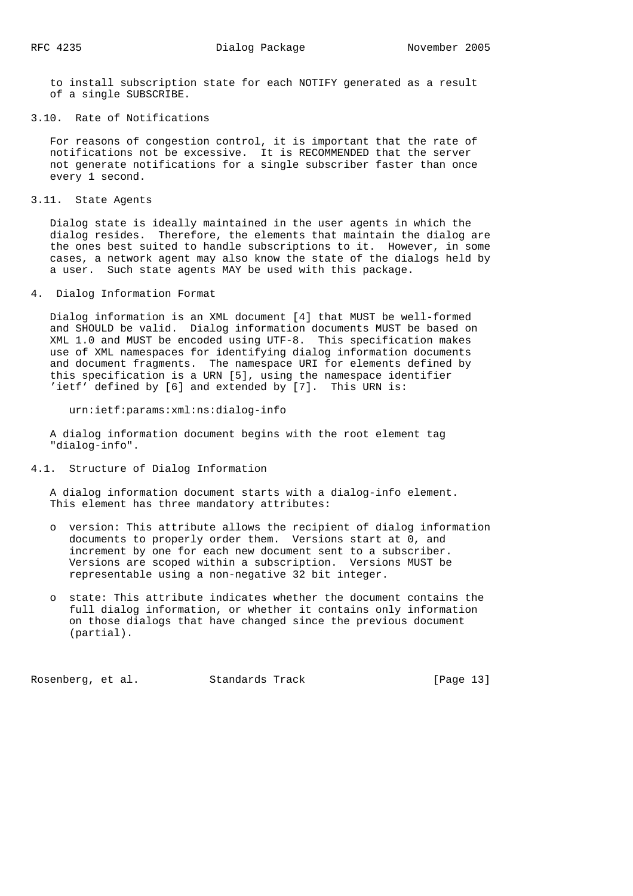to install subscription state for each NOTIFY generated as a result of a single SUBSCRIBE.

3.10. Rate of Notifications

 For reasons of congestion control, it is important that the rate of notifications not be excessive. It is RECOMMENDED that the server not generate notifications for a single subscriber faster than once every 1 second.

3.11. State Agents

 Dialog state is ideally maintained in the user agents in which the dialog resides. Therefore, the elements that maintain the dialog are the ones best suited to handle subscriptions to it. However, in some cases, a network agent may also know the state of the dialogs held by a user. Such state agents MAY be used with this package.

4. Dialog Information Format

 Dialog information is an XML document [4] that MUST be well-formed and SHOULD be valid. Dialog information documents MUST be based on XML 1.0 and MUST be encoded using UTF-8. This specification makes use of XML namespaces for identifying dialog information documents and document fragments. The namespace URI for elements defined by this specification is a URN [5], using the namespace identifier 'ietf' defined by [6] and extended by [7]. This URN is:

urn:ietf:params:xml:ns:dialog-info

 A dialog information document begins with the root element tag "dialog-info".

4.1. Structure of Dialog Information

 A dialog information document starts with a dialog-info element. This element has three mandatory attributes:

- o version: This attribute allows the recipient of dialog information documents to properly order them. Versions start at 0, and increment by one for each new document sent to a subscriber. Versions are scoped within a subscription. Versions MUST be representable using a non-negative 32 bit integer.
- o state: This attribute indicates whether the document contains the full dialog information, or whether it contains only information on those dialogs that have changed since the previous document (partial).

Rosenberg, et al. Standards Track [Page 13]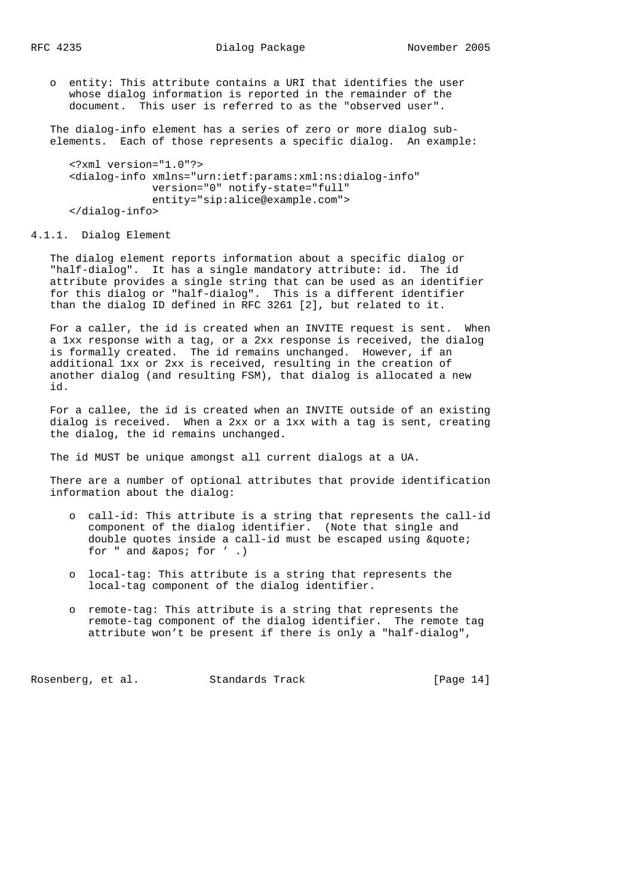o entity: This attribute contains a URI that identifies the user whose dialog information is reported in the remainder of the document. This user is referred to as the "observed user".

 The dialog-info element has a series of zero or more dialog sub elements. Each of those represents a specific dialog. An example:

```
 <?xml version="1.0"?>
 <dialog-info xmlns="urn:ietf:params:xml:ns:dialog-info"
              version="0" notify-state="full"
              entity="sip:alice@example.com">
 </dialog-info>
```
4.1.1. Dialog Element

 The dialog element reports information about a specific dialog or "half-dialog". It has a single mandatory attribute: id. The id attribute provides a single string that can be used as an identifier for this dialog or "half-dialog". This is a different identifier than the dialog ID defined in RFC 3261 [2], but related to it.

 For a caller, the id is created when an INVITE request is sent. When a 1xx response with a tag, or a 2xx response is received, the dialog is formally created. The id remains unchanged. However, if an additional 1xx or 2xx is received, resulting in the creation of another dialog (and resulting FSM), that dialog is allocated a new id.

 For a callee, the id is created when an INVITE outside of an existing dialog is received. When a 2xx or a 1xx with a tag is sent, creating the dialog, the id remains unchanged.

The id MUST be unique amongst all current dialogs at a UA.

 There are a number of optional attributes that provide identification information about the dialog:

- o call-id: This attribute is a string that represents the call-id component of the dialog identifier. (Note that single and double quotes inside a call-id must be escaped using  $\&$ quote; for  $"$  and  $&$ apos; for  $'$ .)
- o local-tag: This attribute is a string that represents the local-tag component of the dialog identifier.
- o remote-tag: This attribute is a string that represents the remote-tag component of the dialog identifier. The remote tag attribute won't be present if there is only a "half-dialog",

Rosenberg, et al. Standards Track [Page 14]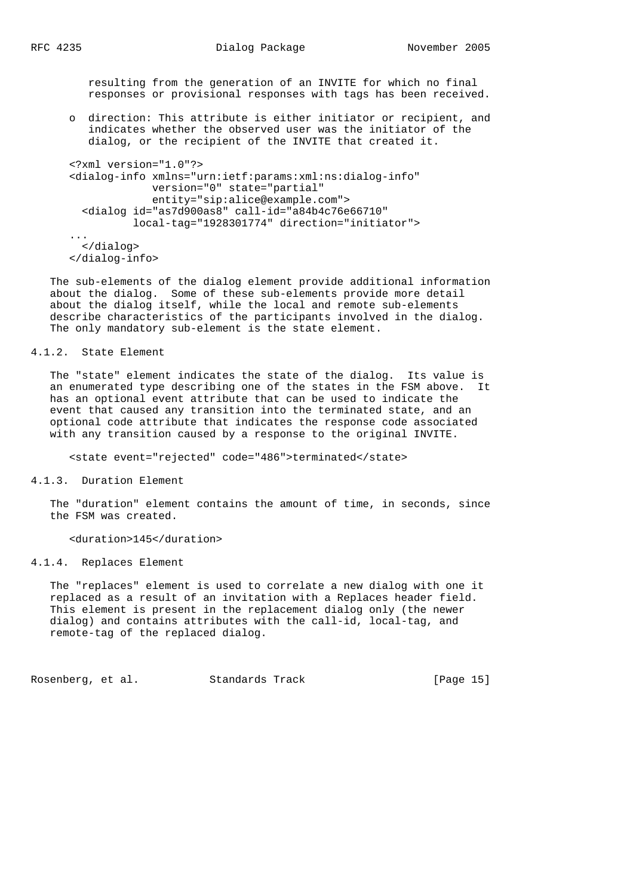resulting from the generation of an INVITE for which no final responses or provisional responses with tags has been received.

 o direction: This attribute is either initiator or recipient, and indicates whether the observed user was the initiator of the dialog, or the recipient of the INVITE that created it.

```
 <?xml version="1.0"?>
       <dialog-info xmlns="urn:ietf:params:xml:ns:dialog-info"
                    version="0" state="partial"
                   entity="sip:alice@example.com">
         <dialog id="as7d900as8" call-id="a84b4c76e66710"
                 local-tag="1928301774" direction="initiator">
 ...
         </dialog>
       </dialog-info>
```
 The sub-elements of the dialog element provide additional information about the dialog. Some of these sub-elements provide more detail about the dialog itself, while the local and remote sub-elements describe characteristics of the participants involved in the dialog. The only mandatory sub-element is the state element.

#### 4.1.2. State Element

 The "state" element indicates the state of the dialog. Its value is an enumerated type describing one of the states in the FSM above. It has an optional event attribute that can be used to indicate the event that caused any transition into the terminated state, and an optional code attribute that indicates the response code associated with any transition caused by a response to the original INVITE.

<state event="rejected" code="486">terminated</state>

4.1.3. Duration Element

 The "duration" element contains the amount of time, in seconds, since the FSM was created.

<duration>145</duration>

4.1.4. Replaces Element

 The "replaces" element is used to correlate a new dialog with one it replaced as a result of an invitation with a Replaces header field. This element is present in the replacement dialog only (the newer dialog) and contains attributes with the call-id, local-tag, and remote-tag of the replaced dialog.

Rosenberg, et al. Standards Track [Page 15]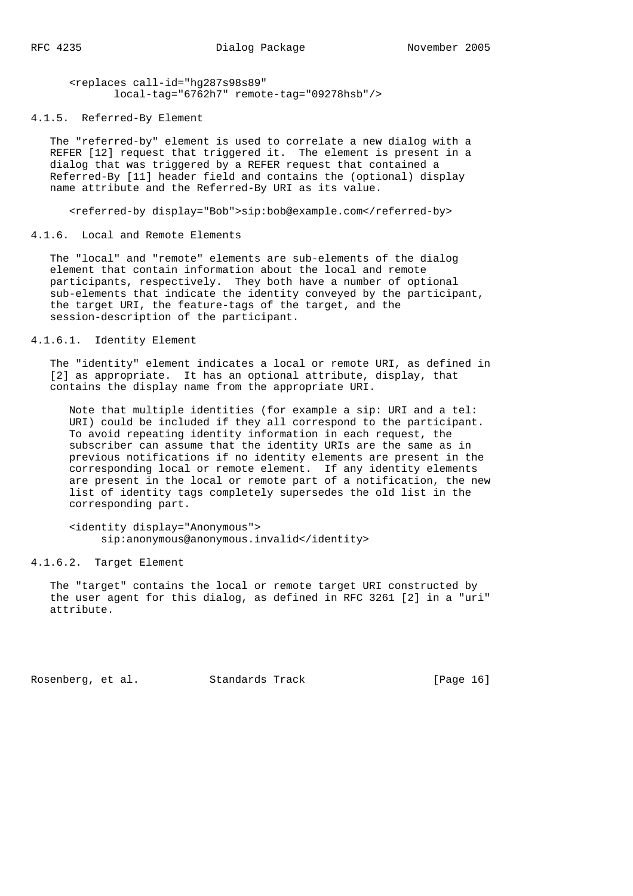<replaces call-id="hg287s98s89" local-tag="6762h7" remote-tag="09278hsb"/>

4.1.5. Referred-By Element

 The "referred-by" element is used to correlate a new dialog with a REFER [12] request that triggered it. The element is present in a dialog that was triggered by a REFER request that contained a Referred-By [11] header field and contains the (optional) display name attribute and the Referred-By URI as its value.

<referred-by display="Bob">sip:bob@example.com</referred-by>

4.1.6. Local and Remote Elements

 The "local" and "remote" elements are sub-elements of the dialog element that contain information about the local and remote participants, respectively. They both have a number of optional sub-elements that indicate the identity conveyed by the participant, the target URI, the feature-tags of the target, and the session-description of the participant.

## 4.1.6.1. Identity Element

 The "identity" element indicates a local or remote URI, as defined in [2] as appropriate. It has an optional attribute, display, that contains the display name from the appropriate URI.

 Note that multiple identities (for example a sip: URI and a tel: URI) could be included if they all correspond to the participant. To avoid repeating identity information in each request, the subscriber can assume that the identity URIs are the same as in previous notifications if no identity elements are present in the corresponding local or remote element. If any identity elements are present in the local or remote part of a notification, the new list of identity tags completely supersedes the old list in the corresponding part.

 <identity display="Anonymous"> sip:anonymous@anonymous.invalid</identity>

### 4.1.6.2. Target Element

 The "target" contains the local or remote target URI constructed by the user agent for this dialog, as defined in RFC 3261 [2] in a "uri" attribute.

Rosenberg, et al. Standards Track [Page 16]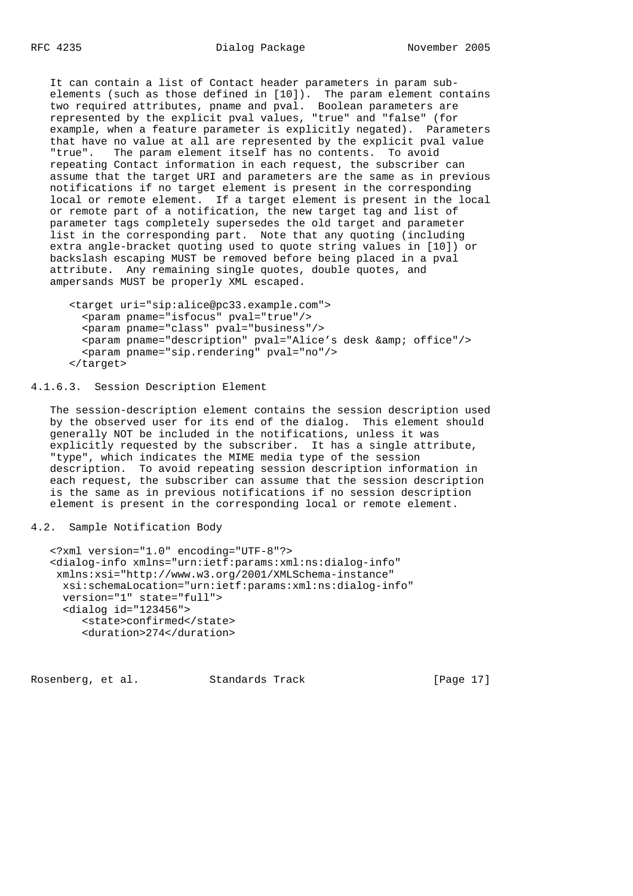RFC 4235 Dialog Package November 2005

 It can contain a list of Contact header parameters in param sub elements (such as those defined in [10]). The param element contains two required attributes, pname and pval. Boolean parameters are represented by the explicit pval values, "true" and "false" (for example, when a feature parameter is explicitly negated). Parameters that have no value at all are represented by the explicit pval value "true". The param element itself has no contents. To avoid repeating Contact information in each request, the subscriber can assume that the target URI and parameters are the same as in previous notifications if no target element is present in the corresponding local or remote element. If a target element is present in the local or remote part of a notification, the new target tag and list of parameter tags completely supersedes the old target and parameter list in the corresponding part. Note that any quoting (including extra angle-bracket quoting used to quote string values in [10]) or backslash escaping MUST be removed before being placed in a pval attribute. Any remaining single quotes, double quotes, and ampersands MUST be properly XML escaped.

```
 <target uri="sip:alice@pc33.example.com">
  <param pname="isfocus" pval="true"/>
  <param pname="class" pval="business"/>
 <param pname="description" pval="Alice's desk & amp; office"/>
  <param pname="sip.rendering" pval="no"/>
 </target>
```
4.1.6.3. Session Description Element

 The session-description element contains the session description used by the observed user for its end of the dialog. This element should generally NOT be included in the notifications, unless it was explicitly requested by the subscriber. It has a single attribute, "type", which indicates the MIME media type of the session description. To avoid repeating session description information in each request, the subscriber can assume that the session description is the same as in previous notifications if no session description element is present in the corresponding local or remote element.

4.2. Sample Notification Body

```
 <?xml version="1.0" encoding="UTF-8"?>
 <dialog-info xmlns="urn:ietf:params:xml:ns:dialog-info"
 xmlns:xsi="http://www.w3.org/2001/XMLSchema-instance"
  xsi:schemaLocation="urn:ietf:params:xml:ns:dialog-info"
  version="1" state="full">
  <dialog id="123456">
      <state>confirmed</state>
      <duration>274</duration>
```
Rosenberg, et al. Standards Track [Page 17]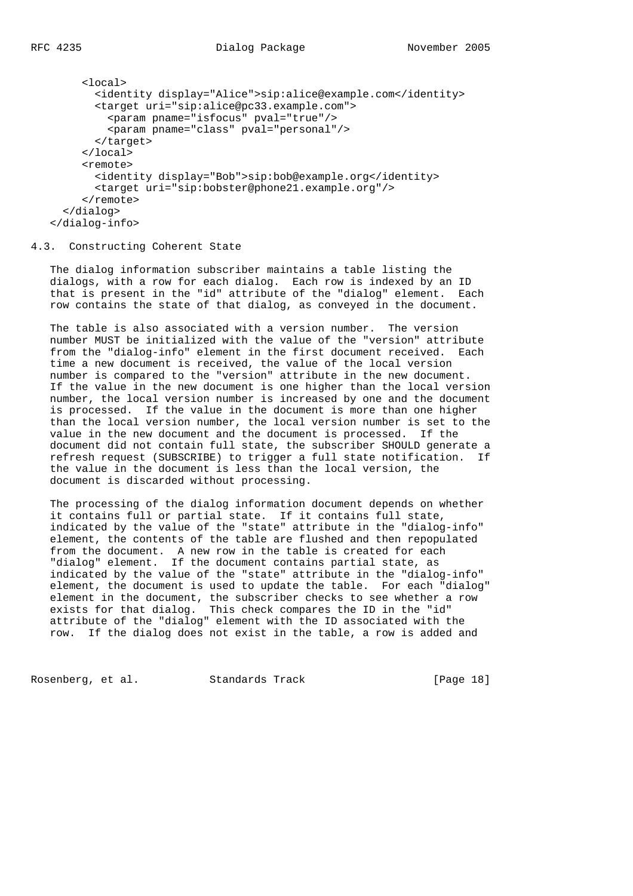```
 <local>
        <identity display="Alice">sip:alice@example.com</identity>
        <target uri="sip:alice@pc33.example.com">
          <param pname="isfocus" pval="true"/>
          <param pname="class" pval="personal"/>
        </target>
      </local>
      <remote>
        <identity display="Bob">sip:bob@example.org</identity>
        <target uri="sip:bobster@phone21.example.org"/>
      </remote>
   </dialog>
 </dialog-info>
```
4.3. Constructing Coherent State

 The dialog information subscriber maintains a table listing the dialogs, with a row for each dialog. Each row is indexed by an ID that is present in the "id" attribute of the "dialog" element. Each row contains the state of that dialog, as conveyed in the document.

 The table is also associated with a version number. The version number MUST be initialized with the value of the "version" attribute from the "dialog-info" element in the first document received. Each time a new document is received, the value of the local version number is compared to the "version" attribute in the new document. If the value in the new document is one higher than the local version number, the local version number is increased by one and the document is processed. If the value in the document is more than one higher than the local version number, the local version number is set to the value in the new document and the document is processed. If the document did not contain full state, the subscriber SHOULD generate a refresh request (SUBSCRIBE) to trigger a full state notification. If the value in the document is less than the local version, the document is discarded without processing.

 The processing of the dialog information document depends on whether it contains full or partial state. If it contains full state, indicated by the value of the "state" attribute in the "dialog-info" element, the contents of the table are flushed and then repopulated from the document. A new row in the table is created for each "dialog" element. If the document contains partial state, as indicated by the value of the "state" attribute in the "dialog-info" element, the document is used to update the table. For each "dialog" element in the document, the subscriber checks to see whether a row exists for that dialog. This check compares the ID in the "id" attribute of the "dialog" element with the ID associated with the row. If the dialog does not exist in the table, a row is added and

Rosenberg, et al. Standards Track [Page 18]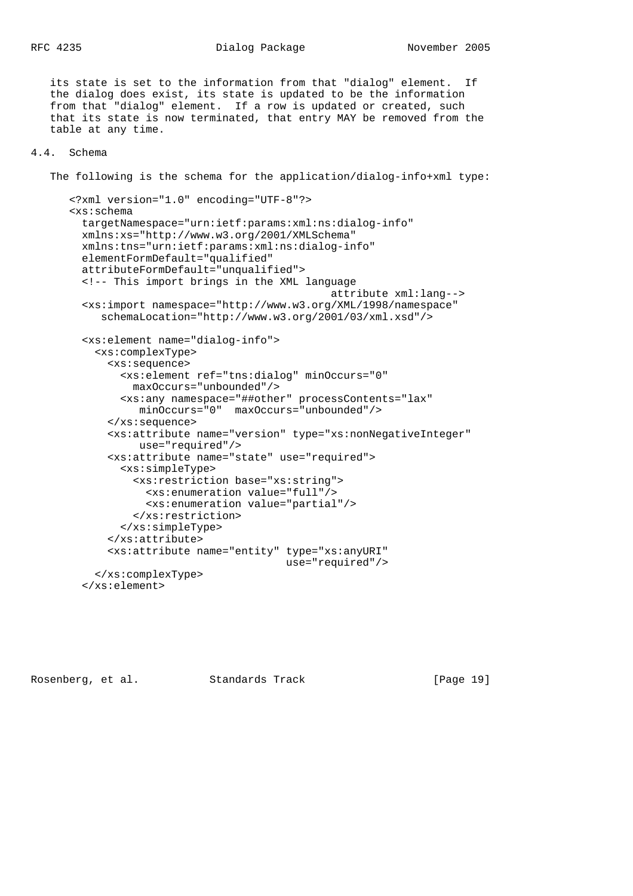its state is set to the information from that "dialog" element. If the dialog does exist, its state is updated to be the information from that "dialog" element. If a row is updated or created, such that its state is now terminated, that entry MAY be removed from the table at any time.

### 4.4. Schema

The following is the schema for the application/dialog-info+xml type:

```
 <?xml version="1.0" encoding="UTF-8"?>
 <xs:schema
   targetNamespace="urn:ietf:params:xml:ns:dialog-info"
  xmlns:xs="http://www.w3.org/2001/XMLSchema"
  xmlns:tns="urn:ietf:params:xml:ns:dialog-info"
  elementFormDefault="qualified"
  attributeFormDefault="unqualified">
   <!-- This import brings in the XML language
                                          attribute xml:lang-->
   <xs:import namespace="http://www.w3.org/XML/1998/namespace"
      schemaLocation="http://www.w3.org/2001/03/xml.xsd"/>
   <xs:element name="dialog-info">
     <xs:complexType>
       <xs:sequence>
         <xs:element ref="tns:dialog" minOccurs="0"
           maxOccurs="unbounded"/>
         <xs:any namespace="##other" processContents="lax"
           minOccurs="0" maxOccurs="unbounded"/>
       </xs:sequence>
       <xs:attribute name="version" type="xs:nonNegativeInteger"
            use="required"/>
       <xs:attribute name="state" use="required">
         <xs:simpleType>
           <xs:restriction base="xs:string">
             <xs:enumeration value="full"/>
             <xs:enumeration value="partial"/>
           </xs:restriction>
         </xs:simpleType>
       </xs:attribute>
       <xs:attribute name="entity" type="xs:anyURI"
                                   use="required"/>
     </xs:complexType>
   </xs:element>
```
Rosenberg, et al. Standards Track [Page 19]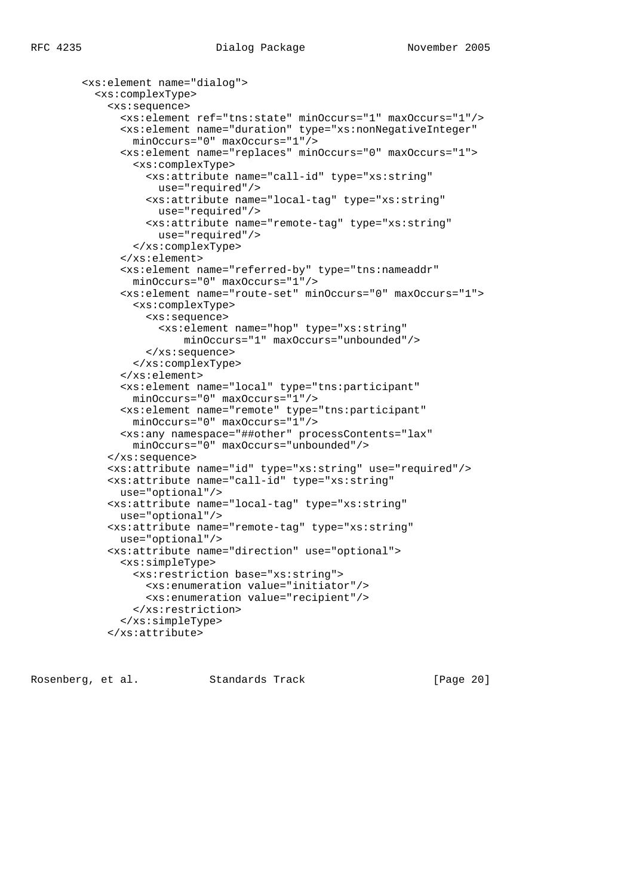```
 <xs:element name="dialog">
  <xs:complexType>
     <xs:sequence>
       <xs:element ref="tns:state" minOccurs="1" maxOccurs="1"/>
       <xs:element name="duration" type="xs:nonNegativeInteger"
        minOccurs="0" maxOccurs="1"/>
       <xs:element name="replaces" minOccurs="0" maxOccurs="1">
         <xs:complexType>
           <xs:attribute name="call-id" type="xs:string"
             use="required"/>
           <xs:attribute name="local-tag" type="xs:string"
            use="required"/>
           <xs:attribute name="remote-tag" type="xs:string"
            use="required"/>
         </xs:complexType>
       </xs:element>
       <xs:element name="referred-by" type="tns:nameaddr"
         minOccurs="0" maxOccurs="1"/>
       <xs:element name="route-set" minOccurs="0" maxOccurs="1">
         <xs:complexType>
           <xs:sequence>
             <xs:element name="hop" type="xs:string"
                 minOccurs="1" maxOccurs="unbounded"/>
           </xs:sequence>
         </xs:complexType>
       </xs:element>
       <xs:element name="local" type="tns:participant"
         minOccurs="0" maxOccurs="1"/>
       <xs:element name="remote" type="tns:participant"
         minOccurs="0" maxOccurs="1"/>
       <xs:any namespace="##other" processContents="lax"
         minOccurs="0" maxOccurs="unbounded"/>
     </xs:sequence>
     <xs:attribute name="id" type="xs:string" use="required"/>
     <xs:attribute name="call-id" type="xs:string"
      use="optional"/>
     <xs:attribute name="local-tag" type="xs:string"
      use="optional"/>
     <xs:attribute name="remote-tag" type="xs:string"
      use="optional"/>
     <xs:attribute name="direction" use="optional">
       <xs:simpleType>
         <xs:restriction base="xs:string">
           <xs:enumeration value="initiator"/>
           <xs:enumeration value="recipient"/>
         </xs:restriction>
       </xs:simpleType>
     </xs:attribute>
```
Rosenberg, et al. Standards Track [Page 20]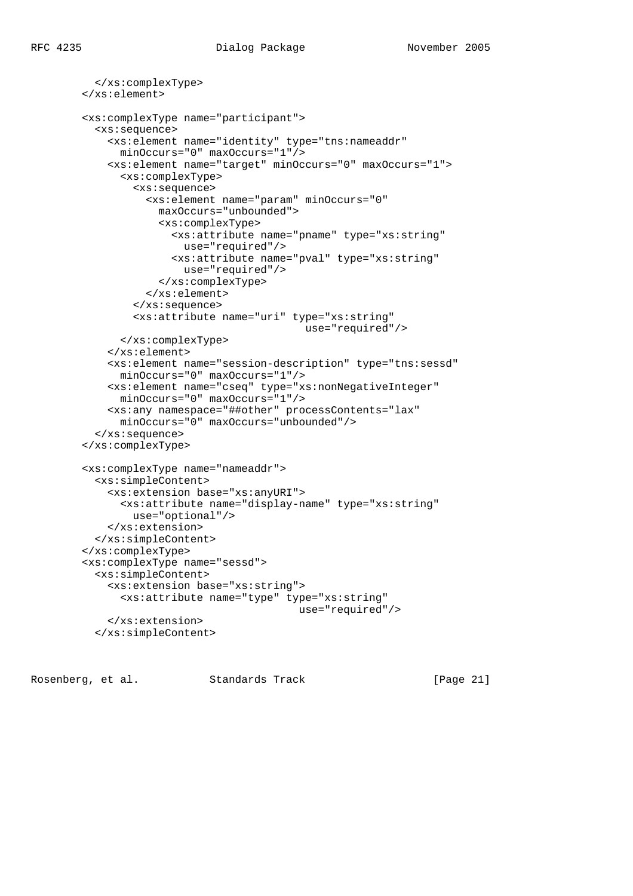```
 </xs:complexType>
 </xs:element>
 <xs:complexType name="participant">
   <xs:sequence>
     <xs:element name="identity" type="tns:nameaddr"
      minOccurs="0" maxOccurs="1"/>
     <xs:element name="target" minOccurs="0" maxOccurs="1">
       <xs:complexType>
         <xs:sequence>
           <xs:element name="param" minOccurs="0"
             maxOccurs="unbounded">
             <xs:complexType>
               <xs:attribute name="pname" type="xs:string"
                 use="required"/>
               <xs:attribute name="pval" type="xs:string"
                 use="required"/>
             </xs:complexType>
           </xs:element>
         </xs:sequence>
         <xs:attribute name="uri" type="xs:string"
                                     use="required"/>
       </xs:complexType>
     </xs:element>
     <xs:element name="session-description" type="tns:sessd"
       minOccurs="0" maxOccurs="1"/>
     <xs:element name="cseq" type="xs:nonNegativeInteger"
      minOccurs="0" maxOccurs="1"/>
     <xs:any namespace="##other" processContents="lax"
      minOccurs="0" maxOccurs="unbounded"/>
   </xs:sequence>
 </xs:complexType>
 <xs:complexType name="nameaddr">
   <xs:simpleContent>
     <xs:extension base="xs:anyURI">
       <xs:attribute name="display-name" type="xs:string"
         use="optional"/>
     </xs:extension>
   </xs:simpleContent>
 </xs:complexType>
 <xs:complexType name="sessd">
   <xs:simpleContent>
     <xs:extension base="xs:string">
       <xs:attribute name="type" type="xs:string"
                                    use="required"/>
     </xs:extension>
   </xs:simpleContent>
```
Rosenberg, et al. Standards Track [Page 21]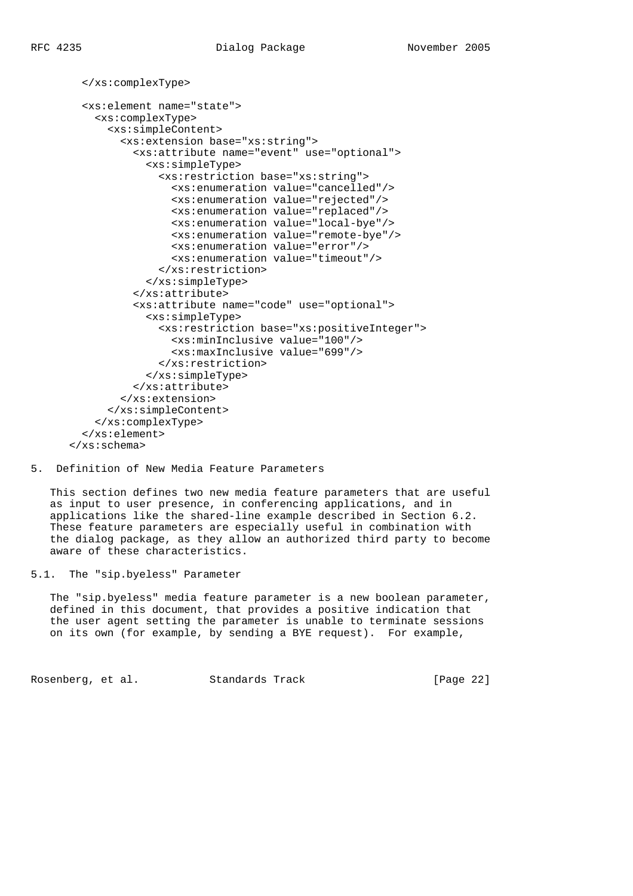</xs:complexType>

```
 <xs:element name="state">
     <xs:complexType>
       <xs:simpleContent>
         <xs:extension base="xs:string">
           <xs:attribute name="event" use="optional">
             <xs:simpleType>
               <xs:restriction base="xs:string">
                 <xs:enumeration value="cancelled"/>
                 <xs:enumeration value="rejected"/>
                 <xs:enumeration value="replaced"/>
                 <xs:enumeration value="local-bye"/>
                 <xs:enumeration value="remote-bye"/>
                 <xs:enumeration value="error"/>
                 <xs:enumeration value="timeout"/>
               </xs:restriction>
             </xs:simpleType>
           </xs:attribute>
           <xs:attribute name="code" use="optional">
             <xs:simpleType>
               <xs:restriction base="xs:positiveInteger">
                 <xs:minInclusive value="100"/>
                 <xs:maxInclusive value="699"/>
               </xs:restriction>
             </xs:simpleType>
           </xs:attribute>
         </xs:extension>
       </xs:simpleContent>
     </xs:complexType>
  </xs:element>
 </xs:schema>
```
# 5. Definition of New Media Feature Parameters

 This section defines two new media feature parameters that are useful as input to user presence, in conferencing applications, and in applications like the shared-line example described in Section 6.2. These feature parameters are especially useful in combination with the dialog package, as they allow an authorized third party to become aware of these characteristics.

5.1. The "sip.byeless" Parameter

 The "sip.byeless" media feature parameter is a new boolean parameter, defined in this document, that provides a positive indication that the user agent setting the parameter is unable to terminate sessions on its own (for example, by sending a BYE request). For example,

Rosenberg, et al. Standards Track [Page 22]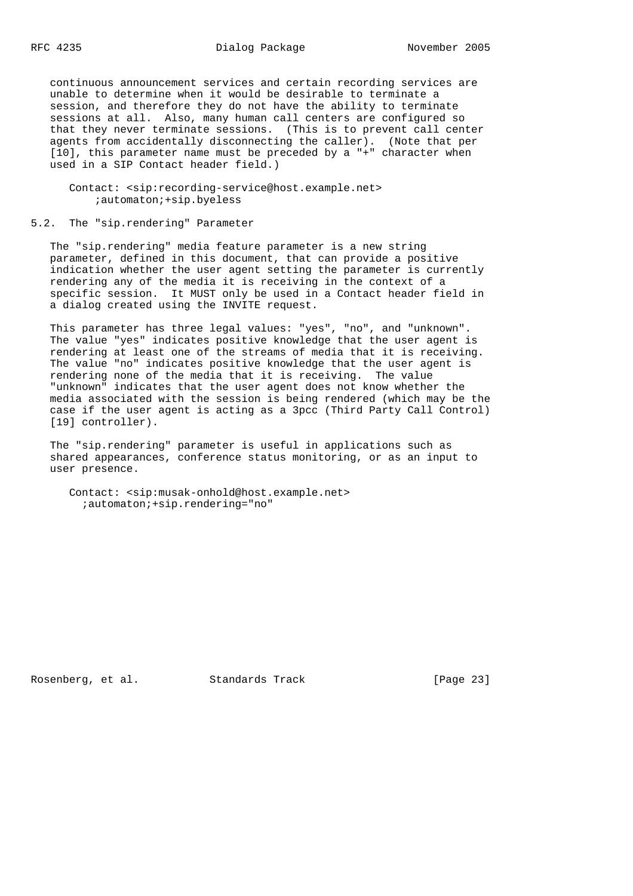continuous announcement services and certain recording services are unable to determine when it would be desirable to terminate a session, and therefore they do not have the ability to terminate sessions at all. Also, many human call centers are configured so that they never terminate sessions. (This is to prevent call center agents from accidentally disconnecting the caller). (Note that per [10], this parameter name must be preceded by a "+" character when used in a SIP Contact header field.)

 Contact: <sip:recording-service@host.example.net> ;automaton;+sip.byeless

#### 5.2. The "sip.rendering" Parameter

 The "sip.rendering" media feature parameter is a new string parameter, defined in this document, that can provide a positive indication whether the user agent setting the parameter is currently rendering any of the media it is receiving in the context of a specific session. It MUST only be used in a Contact header field in a dialog created using the INVITE request.

 This parameter has three legal values: "yes", "no", and "unknown". The value "yes" indicates positive knowledge that the user agent is rendering at least one of the streams of media that it is receiving. The value "no" indicates positive knowledge that the user agent is rendering none of the media that it is receiving. The value "unknown" indicates that the user agent does not know whether the media associated with the session is being rendered (which may be the case if the user agent is acting as a 3pcc (Third Party Call Control) [19] controller).

 The "sip.rendering" parameter is useful in applications such as shared appearances, conference status monitoring, or as an input to user presence.

 Contact: <sip:musak-onhold@host.example.net> ;automaton;+sip.rendering="no"

Rosenberg, et al. Standards Track [Page 23]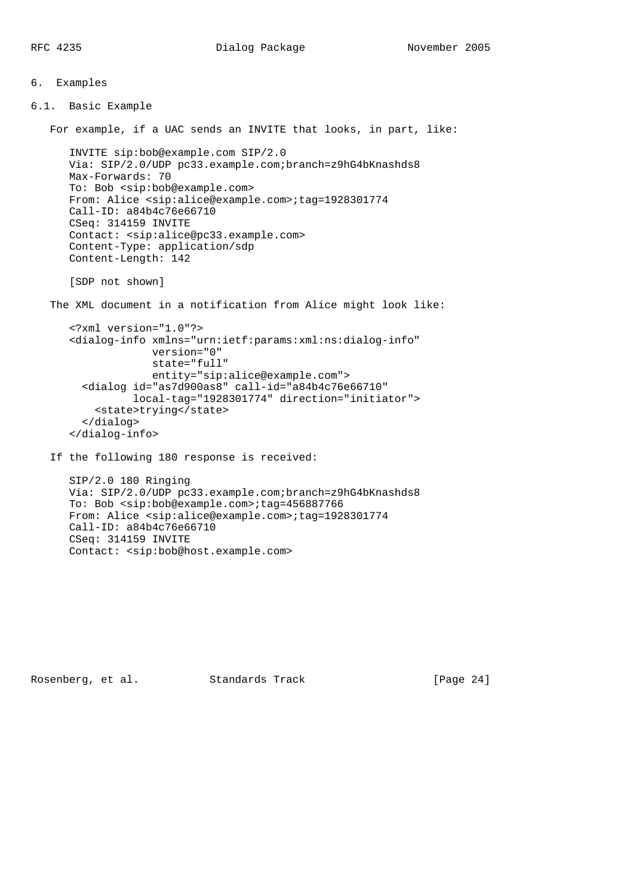```
6. Examples
6.1. Basic Example
    For example, if a UAC sends an INVITE that looks, in part, like:
       INVITE sip:bob@example.com SIP/2.0
       Via: SIP/2.0/UDP pc33.example.com;branch=z9hG4bKnashds8
       Max-Forwards: 70
       To: Bob <sip:bob@example.com>
       From: Alice <sip:alice@example.com>;tag=1928301774
       Call-ID: a84b4c76e66710
       CSeq: 314159 INVITE
       Contact: <sip:alice@pc33.example.com>
       Content-Type: application/sdp
       Content-Length: 142
       [SDP not shown]
    The XML document in a notification from Alice might look like:
       <?xml version="1.0"?>
       <dialog-info xmlns="urn:ietf:params:xml:ns:dialog-info"
                    version="0"
                    state="full"
                    entity="sip:alice@example.com">
         <dialog id="as7d900as8" call-id="a84b4c76e66710"
                 local-tag="1928301774" direction="initiator">
           <state>trying</state>
         </dialog>
       </dialog-info>
    If the following 180 response is received:
       SIP/2.0 180 Ringing
       Via: SIP/2.0/UDP pc33.example.com;branch=z9hG4bKnashds8
       To: Bob <sip:bob@example.com>;tag=456887766
       From: Alice <sip:alice@example.com>;tag=1928301774
       Call-ID: a84b4c76e66710
       CSeq: 314159 INVITE
       Contact: <sip:bob@host.example.com>
```
Rosenberg, et al. Standards Track [Page 24]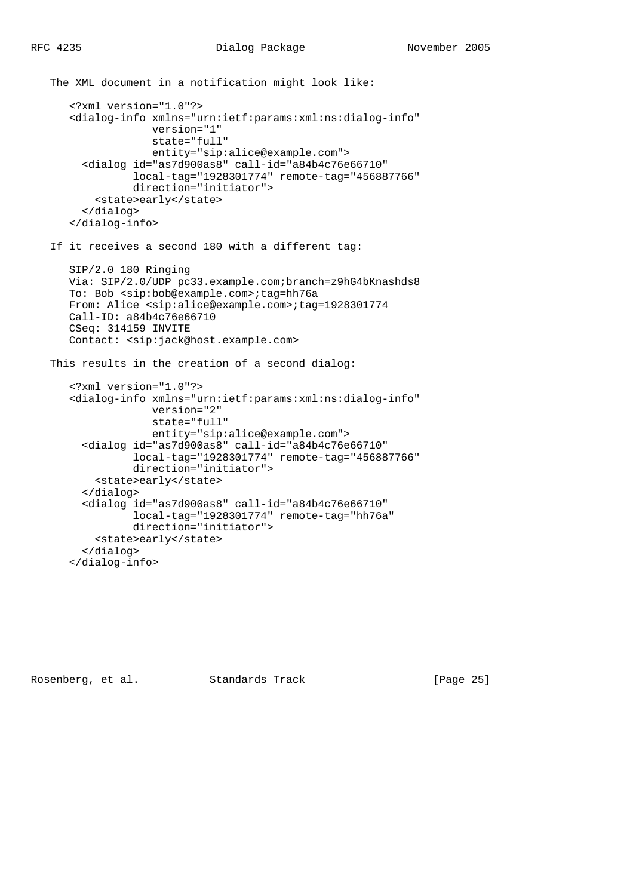```
 The XML document in a notification might look like:
    <?xml version="1.0"?>
    <dialog-info xmlns="urn:ietf:params:xml:ns:dialog-info"
                 version="1"
                 state="full"
                 entity="sip:alice@example.com">
      <dialog id="as7d900as8" call-id="a84b4c76e66710"
              local-tag="1928301774" remote-tag="456887766"
              direction="initiator">
        <state>early</state>
      </dialog>
    </dialog-info>
 If it receives a second 180 with a different tag:
    SIP/2.0 180 Ringing
    Via: SIP/2.0/UDP pc33.example.com;branch=z9hG4bKnashds8
    To: Bob <sip:bob@example.com>;tag=hh76a
    From: Alice <sip:alice@example.com>;tag=1928301774
    Call-ID: a84b4c76e66710
    CSeq: 314159 INVITE
    Contact: <sip:jack@host.example.com>
 This results in the creation of a second dialog:
    <?xml version="1.0"?>
    <dialog-info xmlns="urn:ietf:params:xml:ns:dialog-info"
                 version="2"
                 state="full"
                 entity="sip:alice@example.com">
      <dialog id="as7d900as8" call-id="a84b4c76e66710"
              local-tag="1928301774" remote-tag="456887766"
              direction="initiator">
        <state>early</state>
      </dialog>
      <dialog id="as7d900as8" call-id="a84b4c76e66710"
              local-tag="1928301774" remote-tag="hh76a"
              direction="initiator">
        <state>early</state>
      </dialog>
```
</dialog-info>

Rosenberg, et al. Standards Track [Page 25]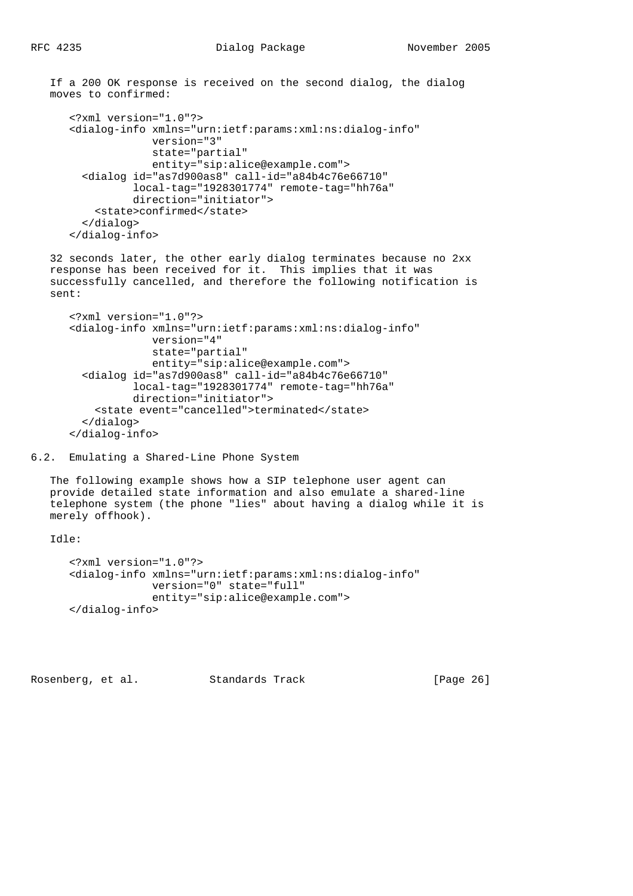If a 200 OK response is received on the second dialog, the dialog moves to confirmed:

```
 <?xml version="1.0"?>
 <dialog-info xmlns="urn:ietf:params:xml:ns:dialog-info"
              version="3"
              state="partial"
              entity="sip:alice@example.com">
   <dialog id="as7d900as8" call-id="a84b4c76e66710"
           local-tag="1928301774" remote-tag="hh76a"
           direction="initiator">
     <state>confirmed</state>
   </dialog>
 </dialog-info>
```
 32 seconds later, the other early dialog terminates because no 2xx response has been received for it. This implies that it was successfully cancelled, and therefore the following notification is sent:

```
 <?xml version="1.0"?>
 <dialog-info xmlns="urn:ietf:params:xml:ns:dialog-info"
              version="4"
              state="partial"
              entity="sip:alice@example.com">
   <dialog id="as7d900as8" call-id="a84b4c76e66710"
           local-tag="1928301774" remote-tag="hh76a"
           direction="initiator">
     <state event="cancelled">terminated</state>
   </dialog>
 </dialog-info>
```

```
6.2. Emulating a Shared-Line Phone System
```
 The following example shows how a SIP telephone user agent can provide detailed state information and also emulate a shared-line telephone system (the phone "lies" about having a dialog while it is merely offhook).

Idle:

```
 <?xml version="1.0"?>
 <dialog-info xmlns="urn:ietf:params:xml:ns:dialog-info"
              version="0" state="full"
              entity="sip:alice@example.com">
 </dialog-info>
```
Rosenberg, et al. Standards Track [Page 26]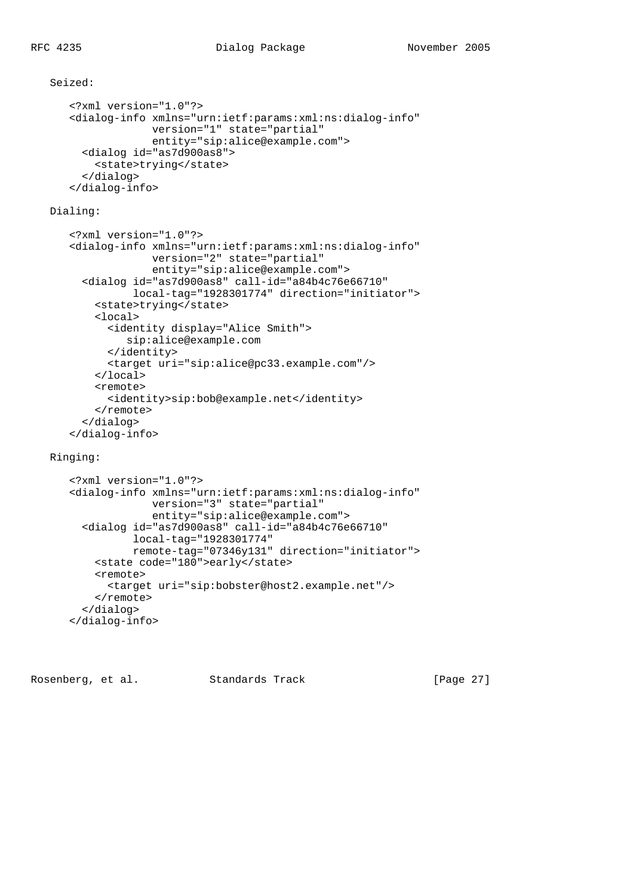## Seized:

```
 <?xml version="1.0"?>
 <dialog-info xmlns="urn:ietf:params:xml:ns:dialog-info"
              version="1" state="partial"
              entity="sip:alice@example.com">
   <dialog id="as7d900as8">
    <state>trying</state>
   </dialog>
 </dialog-info>
```
# Dialing:

```
 <?xml version="1.0"?>
 <dialog-info xmlns="urn:ietf:params:xml:ns:dialog-info"
              version="2" state="partial"
              entity="sip:alice@example.com">
  <dialog id="as7d900as8" call-id="a84b4c76e66710"
           local-tag="1928301774" direction="initiator">
     <state>trying</state>
     <local>
       <identity display="Alice Smith">
          sip:alice@example.com
       </identity>
       <target uri="sip:alice@pc33.example.com"/>
     </local>
     <remote>
       <identity>sip:bob@example.net</identity>
     </remote>
  </dialog>
 </dialog-info>
```
# Ringing:

```
 <?xml version="1.0"?>
 <dialog-info xmlns="urn:ietf:params:xml:ns:dialog-info"
              version="3" state="partial"
              entity="sip:alice@example.com">
  <dialog id="as7d900as8" call-id="a84b4c76e66710"
           local-tag="1928301774"
           remote-tag="07346y131" direction="initiator">
     <state code="180">early</state>
     <remote>
      <target uri="sip:bobster@host2.example.net"/>
     </remote>
  </dialog>
 </dialog-info>
```
Rosenberg, et al. Standards Track [Page 27]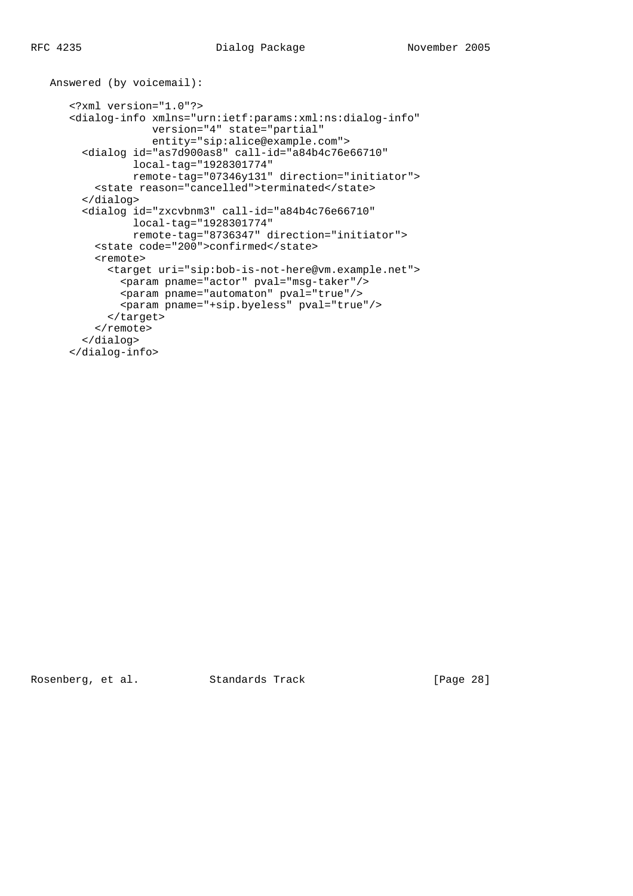```
 Answered (by voicemail):
    <?xml version="1.0"?>
    <dialog-info xmlns="urn:ietf:params:xml:ns:dialog-info"
                 version="4" state="partial"
                 entity="sip:alice@example.com">
      <dialog id="as7d900as8" call-id="a84b4c76e66710"
              local-tag="1928301774"
              remote-tag="07346y131" direction="initiator">
        <state reason="cancelled">terminated</state>
      </dialog>
      <dialog id="zxcvbnm3" call-id="a84b4c76e66710"
              local-tag="1928301774"
              remote-tag="8736347" direction="initiator">
        <state code="200">confirmed</state>
        <remote>
          <target uri="sip:bob-is-not-here@vm.example.net">
            <param pname="actor" pval="msg-taker"/>
            <param pname="automaton" pval="true"/>
           <param pname="+sip.byeless" pval="true"/>
          </target>
        </remote>
      </dialog>
    </dialog-info>
```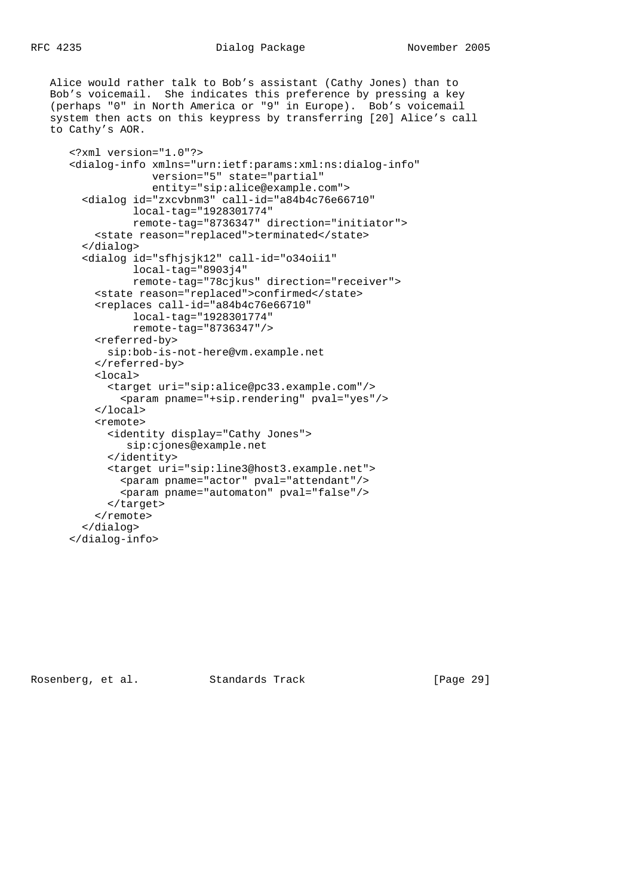Alice would rather talk to Bob's assistant (Cathy Jones) than to Bob's voicemail. She indicates this preference by pressing a key (perhaps "0" in North America or "9" in Europe). Bob's voicemail system then acts on this keypress by transferring [20] Alice's call to Cathy's AOR.

```
 <?xml version="1.0"?>
 <dialog-info xmlns="urn:ietf:params:xml:ns:dialog-info"
              version="5" state="partial"
              entity="sip:alice@example.com">
   <dialog id="zxcvbnm3" call-id="a84b4c76e66710"
           local-tag="1928301774"
           remote-tag="8736347" direction="initiator">
     <state reason="replaced">terminated</state>
   </dialog>
   <dialog id="sfhjsjk12" call-id="o34oii1"
           local-tag="8903j4"
           remote-tag="78cjkus" direction="receiver">
     <state reason="replaced">confirmed</state>
     <replaces call-id="a84b4c76e66710"
           local-tag="1928301774"
           remote-tag="8736347"/>
     <referred-by>
       sip:bob-is-not-here@vm.example.net
     </referred-by>
     <local>
       <target uri="sip:alice@pc33.example.com"/>
         <param pname="+sip.rendering" pval="yes"/>
     </local>
     <remote>
       <identity display="Cathy Jones">
          sip:cjones@example.net
       </identity>
       <target uri="sip:line3@host3.example.net">
         <param pname="actor" pval="attendant"/>
         <param pname="automaton" pval="false"/>
       </target>
     </remote>
   </dialog>
 </dialog-info>
```
Rosenberg, et al. Standards Track [Page 29]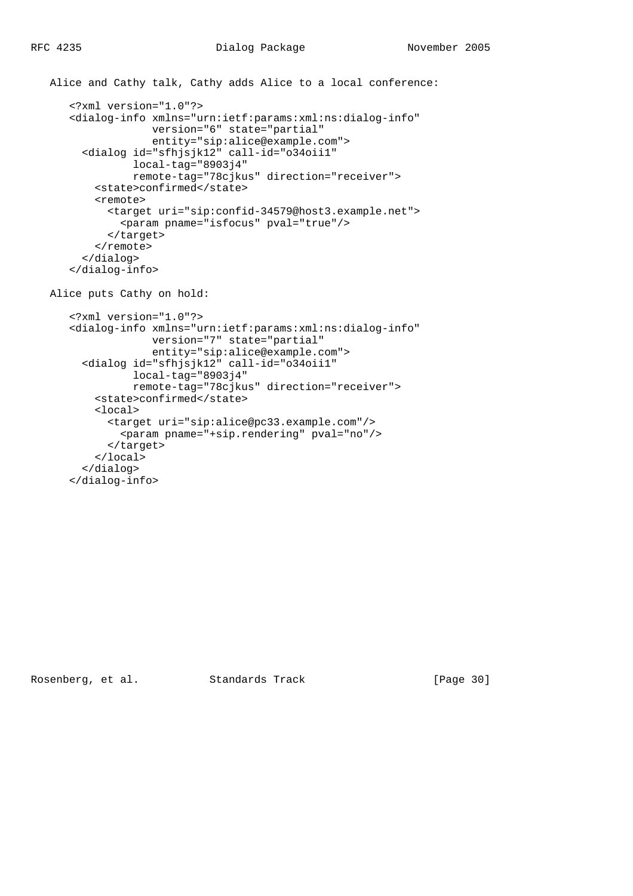```
 Alice and Cathy talk, Cathy adds Alice to a local conference:
    <?xml version="1.0"?>
    <dialog-info xmlns="urn:ietf:params:xml:ns:dialog-info"
                 version="6" state="partial"
                 entity="sip:alice@example.com">
      <dialog id="sfhjsjk12" call-id="o34oii1"
              local-tag="8903j4"
              remote-tag="78cjkus" direction="receiver">
        <state>confirmed</state>
        <remote>
          <target uri="sip:confid-34579@host3.example.net">
            <param pname="isfocus" pval="true"/>
          </target>
       </remote>
      </dialog>
    </dialog-info>
 Alice puts Cathy on hold:
    <?xml version="1.0"?>
    <dialog-info xmlns="urn:ietf:params:xml:ns:dialog-info"
                 version="7" state="partial"
                 entity="sip:alice@example.com">
      <dialog id="sfhjsjk12" call-id="o34oii1"
              local-tag="8903j4"
              remote-tag="78cjkus" direction="receiver">
```

```
 <state>confirmed</state>
     <local>
       <target uri="sip:alice@pc33.example.com"/>
         <param pname="+sip.rendering" pval="no"/>
       </target>
     </local>
   </dialog>
 </dialog-info>
```
Rosenberg, et al. Standards Track [Page 30]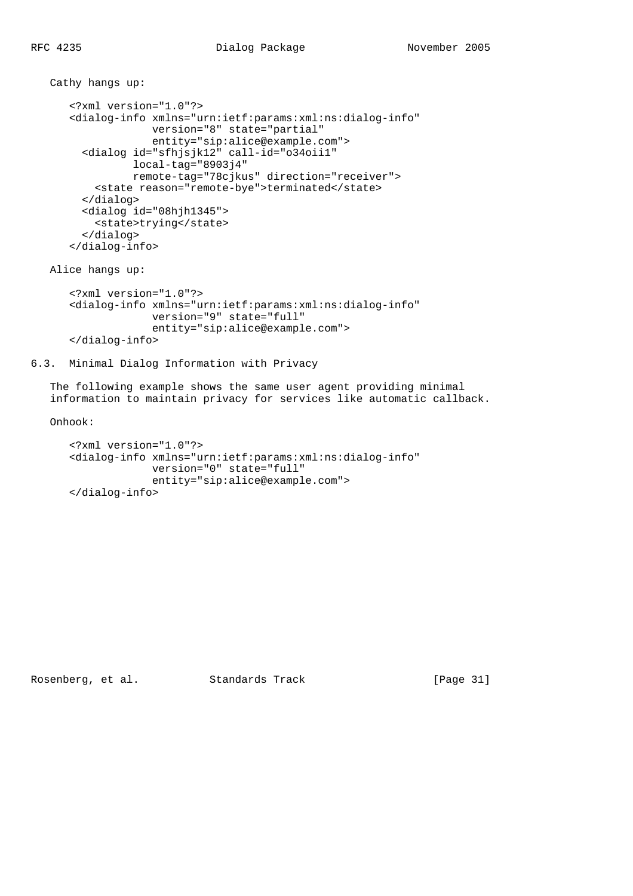```
 Cathy hangs up:
    <?xml version="1.0"?>
    <dialog-info xmlns="urn:ietf:params:xml:ns:dialog-info"
                 version="8" state="partial"
                 entity="sip:alice@example.com">
      <dialog id="sfhjsjk12" call-id="o34oii1"
              local-tag="8903j4"
              remote-tag="78cjkus" direction="receiver">
        <state reason="remote-bye">terminated</state>
      </dialog>
      <dialog id="08hjh1345">
        <state>trying</state>
      </dialog>
    </dialog-info>
```
Alice hangs up:

```
 <?xml version="1.0"?>
 <dialog-info xmlns="urn:ietf:params:xml:ns:dialog-info"
              version="9" state="full"
              entity="sip:alice@example.com">
 </dialog-info>
```
6.3. Minimal Dialog Information with Privacy

 The following example shows the same user agent providing minimal information to maintain privacy for services like automatic callback.

Onhook:

```
 <?xml version="1.0"?>
 <dialog-info xmlns="urn:ietf:params:xml:ns:dialog-info"
              version="0" state="full"
              entity="sip:alice@example.com">
 </dialog-info>
```
Rosenberg, et al. Standards Track [Page 31]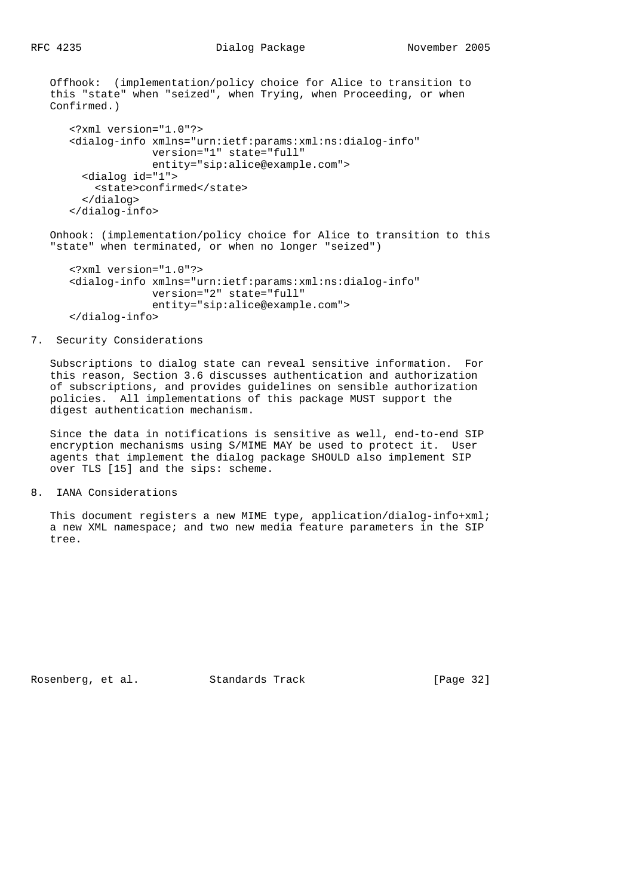Offhook: (implementation/policy choice for Alice to transition to

```
 this "state" when "seized", when Trying, when Proceeding, or when
Confirmed.)
    <?xml version="1.0"?>
    <dialog-info xmlns="urn:ietf:params:xml:ns:dialog-info"
                 version="1" state="full"
                 entity="sip:alice@example.com">
      <dialog id="1">
       <state>confirmed</state>
      </dialog>
    </dialog-info>
```
 Onhook: (implementation/policy choice for Alice to transition to this "state" when terminated, or when no longer "seized")

```
 <?xml version="1.0"?>
 <dialog-info xmlns="urn:ietf:params:xml:ns:dialog-info"
              version="2" state="full"
              entity="sip:alice@example.com">
 </dialog-info>
```
### 7. Security Considerations

 Subscriptions to dialog state can reveal sensitive information. For this reason, Section 3.6 discusses authentication and authorization of subscriptions, and provides guidelines on sensible authorization policies. All implementations of this package MUST support the digest authentication mechanism.

 Since the data in notifications is sensitive as well, end-to-end SIP encryption mechanisms using S/MIME MAY be used to protect it. User agents that implement the dialog package SHOULD also implement SIP over TLS [15] and the sips: scheme.

8. IANA Considerations

This document registers a new MIME type, application/dialog-info+xml; a new XML namespace; and two new media feature parameters in the SIP tree.

Rosenberg, et al. Standards Track [Page 32]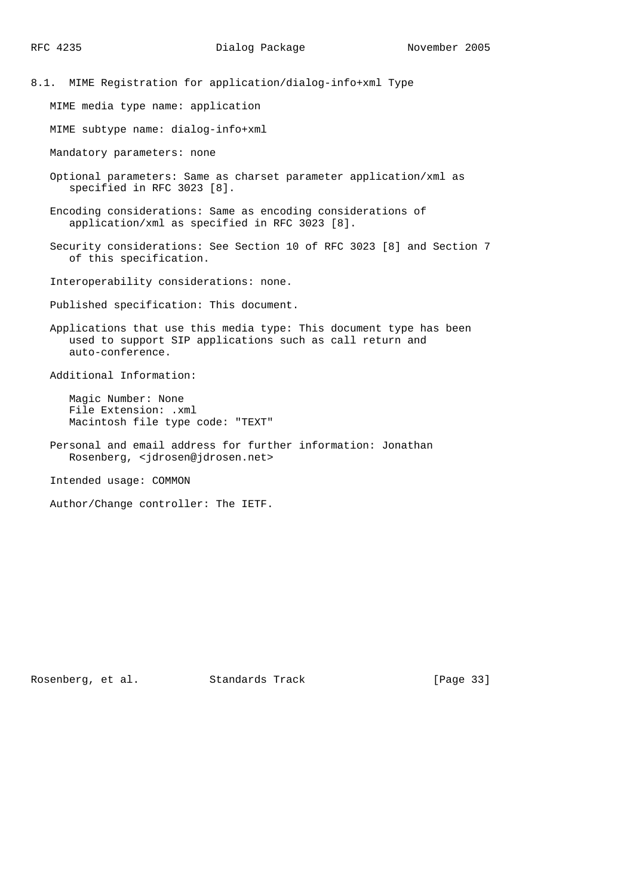8.1. MIME Registration for application/dialog-info+xml Type

MIME media type name: application

MIME subtype name: dialog-info+xml

Mandatory parameters: none

 Optional parameters: Same as charset parameter application/xml as specified in RFC 3023 [8].

 Encoding considerations: Same as encoding considerations of application/xml as specified in RFC 3023 [8].

 Security considerations: See Section 10 of RFC 3023 [8] and Section 7 of this specification.

Interoperability considerations: none.

Published specification: This document.

 Applications that use this media type: This document type has been used to support SIP applications such as call return and auto-conference.

Additional Information:

 Magic Number: None File Extension: .xml Macintosh file type code: "TEXT"

 Personal and email address for further information: Jonathan Rosenberg, <jdrosen@jdrosen.net>

Intended usage: COMMON

Author/Change controller: The IETF.

Rosenberg, et al. Standards Track [Page 33]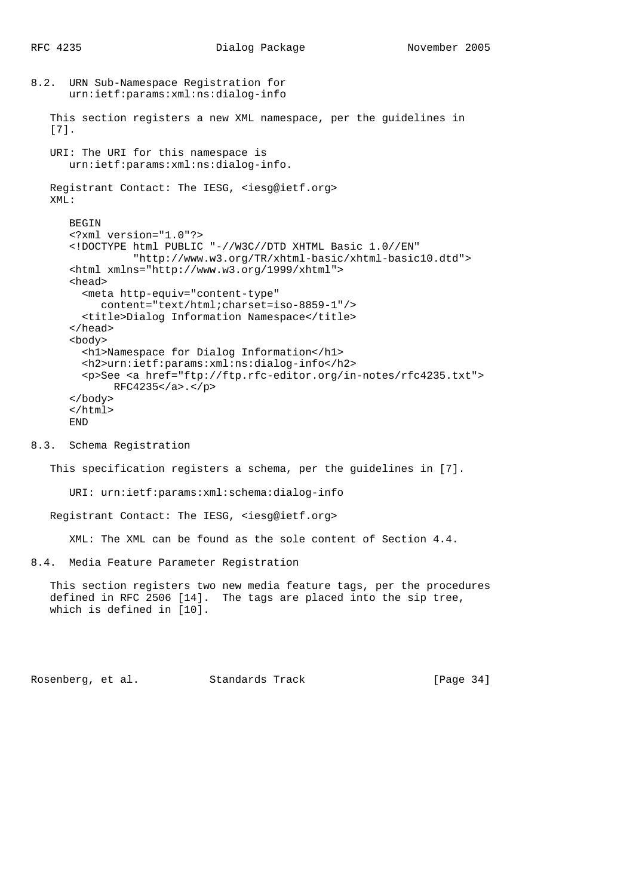```
8.2. URN Sub-Namespace Registration for
       urn:ietf:params:xml:ns:dialog-info
    This section registers a new XML namespace, per the guidelines in
    [7].
    URI: The URI for this namespace is
       urn:ietf:params:xml:ns:dialog-info.
   Registrant Contact: The IESG, <iesg@ietf.org>
    XML:
       BEGIN
       <?xml version="1.0"?>
       <!DOCTYPE html PUBLIC "-//W3C//DTD XHTML Basic 1.0//EN"
                 "http://www.w3.org/TR/xhtml-basic/xhtml-basic10.dtd">
       <html xmlns="http://www.w3.org/1999/xhtml">
       <head>
         <meta http-equiv="content-type"
            content="text/html;charset=iso-8859-1"/>
         <title>Dialog Information Namespace</title>
       </head>
       <body>
         <h1>Namespace for Dialog Information</h1>
         <h2>urn:ietf:params:xml:ns:dialog-info</h2>
         <p>See <a href="ftp://ftp.rfc-editor.org/in-notes/rfc4235.txt">
              RFC4235</a>.</p>
       </body>
       </html>
       END
```
## 8.3. Schema Registration

This specification registers a schema, per the guidelines in [7].

URI: urn:ietf:params:xml:schema:dialog-info

Registrant Contact: The IESG, <iesg@ietf.org>

XML: The XML can be found as the sole content of Section 4.4.

8.4. Media Feature Parameter Registration

 This section registers two new media feature tags, per the procedures defined in RFC 2506 [14]. The tags are placed into the sip tree, which is defined in [10].

Rosenberg, et al. Standards Track [Page 34]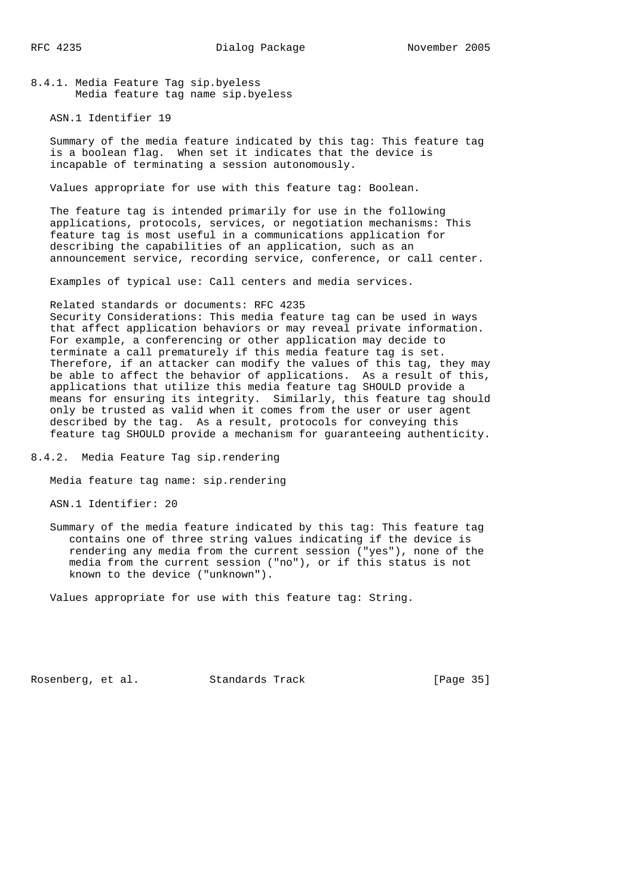8.4.1. Media Feature Tag sip.byeless Media feature tag name sip.byeless

ASN.1 Identifier 19

 Summary of the media feature indicated by this tag: This feature tag is a boolean flag. When set it indicates that the device is incapable of terminating a session autonomously.

Values appropriate for use with this feature tag: Boolean.

 The feature tag is intended primarily for use in the following applications, protocols, services, or negotiation mechanisms: This feature tag is most useful in a communications application for describing the capabilities of an application, such as an announcement service, recording service, conference, or call center.

Examples of typical use: Call centers and media services.

# Related standards or documents: RFC 4235

 Security Considerations: This media feature tag can be used in ways that affect application behaviors or may reveal private information. For example, a conferencing or other application may decide to terminate a call prematurely if this media feature tag is set. Therefore, if an attacker can modify the values of this tag, they may be able to affect the behavior of applications. As a result of this, applications that utilize this media feature tag SHOULD provide a means for ensuring its integrity. Similarly, this feature tag should only be trusted as valid when it comes from the user or user agent described by the tag. As a result, protocols for conveying this feature tag SHOULD provide a mechanism for guaranteeing authenticity.

8.4.2. Media Feature Tag sip.rendering

Media feature tag name: sip.rendering

ASN.1 Identifier: 20

 Summary of the media feature indicated by this tag: This feature tag contains one of three string values indicating if the device is rendering any media from the current session ("yes"), none of the media from the current session ("no"), or if this status is not known to the device ("unknown").

Values appropriate for use with this feature tag: String.

Rosenberg, et al. Standards Track [Page 35]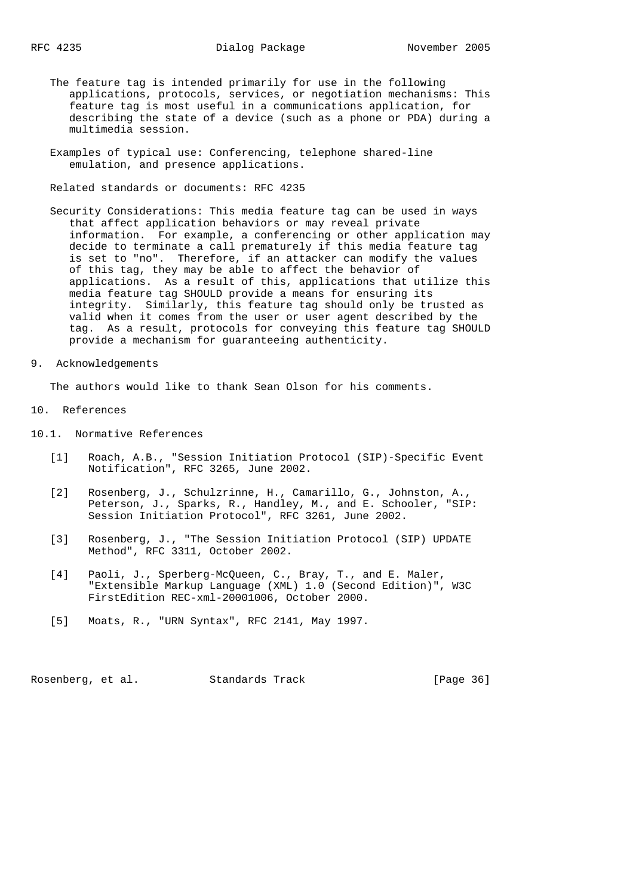- The feature tag is intended primarily for use in the following applications, protocols, services, or negotiation mechanisms: This feature tag is most useful in a communications application, for describing the state of a device (such as a phone or PDA) during a multimedia session.
- Examples of typical use: Conferencing, telephone shared-line emulation, and presence applications.

Related standards or documents: RFC 4235

- Security Considerations: This media feature tag can be used in ways that affect application behaviors or may reveal private information. For example, a conferencing or other application may decide to terminate a call prematurely if this media feature tag is set to "no". Therefore, if an attacker can modify the values of this tag, they may be able to affect the behavior of applications. As a result of this, applications that utilize this media feature tag SHOULD provide a means for ensuring its integrity. Similarly, this feature tag should only be trusted as valid when it comes from the user or user agent described by the tag. As a result, protocols for conveying this feature tag SHOULD provide a mechanism for guaranteeing authenticity.
- 9. Acknowledgements

The authors would like to thank Sean Olson for his comments.

- 10. References
- 10.1. Normative References
	- [1] Roach, A.B., "Session Initiation Protocol (SIP)-Specific Event Notification", RFC 3265, June 2002.
	- [2] Rosenberg, J., Schulzrinne, H., Camarillo, G., Johnston, A., Peterson, J., Sparks, R., Handley, M., and E. Schooler, "SIP: Session Initiation Protocol", RFC 3261, June 2002.
	- [3] Rosenberg, J., "The Session Initiation Protocol (SIP) UPDATE Method", RFC 3311, October 2002.
	- [4] Paoli, J., Sperberg-McQueen, C., Bray, T., and E. Maler, "Extensible Markup Language (XML) 1.0 (Second Edition)", W3C FirstEdition REC-xml-20001006, October 2000.
	- [5] Moats, R., "URN Syntax", RFC 2141, May 1997.

Rosenberg, et al. Standards Track [Page 36]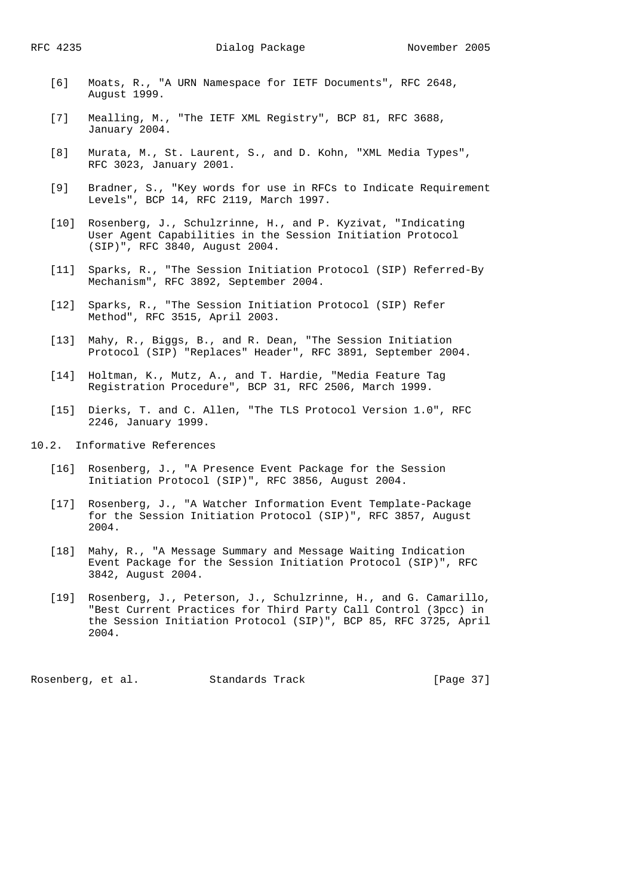- [6] Moats, R., "A URN Namespace for IETF Documents", RFC 2648, August 1999.
- [7] Mealling, M., "The IETF XML Registry", BCP 81, RFC 3688, January 2004.
- [8] Murata, M., St. Laurent, S., and D. Kohn, "XML Media Types", RFC 3023, January 2001.
- [9] Bradner, S., "Key words for use in RFCs to Indicate Requirement Levels", BCP 14, RFC 2119, March 1997.
- [10] Rosenberg, J., Schulzrinne, H., and P. Kyzivat, "Indicating User Agent Capabilities in the Session Initiation Protocol (SIP)", RFC 3840, August 2004.
- [11] Sparks, R., "The Session Initiation Protocol (SIP) Referred-By Mechanism", RFC 3892, September 2004.
- [12] Sparks, R., "The Session Initiation Protocol (SIP) Refer Method", RFC 3515, April 2003.
- [13] Mahy, R., Biggs, B., and R. Dean, "The Session Initiation Protocol (SIP) "Replaces" Header", RFC 3891, September 2004.
	- [14] Holtman, K., Mutz, A., and T. Hardie, "Media Feature Tag Registration Procedure", BCP 31, RFC 2506, March 1999.
	- [15] Dierks, T. and C. Allen, "The TLS Protocol Version 1.0", RFC 2246, January 1999.
- 10.2. Informative References
	- [16] Rosenberg, J., "A Presence Event Package for the Session Initiation Protocol (SIP)", RFC 3856, August 2004.
	- [17] Rosenberg, J., "A Watcher Information Event Template-Package for the Session Initiation Protocol (SIP)", RFC 3857, August 2004.
	- [18] Mahy, R., "A Message Summary and Message Waiting Indication Event Package for the Session Initiation Protocol (SIP)", RFC 3842, August 2004.
	- [19] Rosenberg, J., Peterson, J., Schulzrinne, H., and G. Camarillo, "Best Current Practices for Third Party Call Control (3pcc) in the Session Initiation Protocol (SIP)", BCP 85, RFC 3725, April 2004.

Rosenberg, et al. Standards Track [Page 37]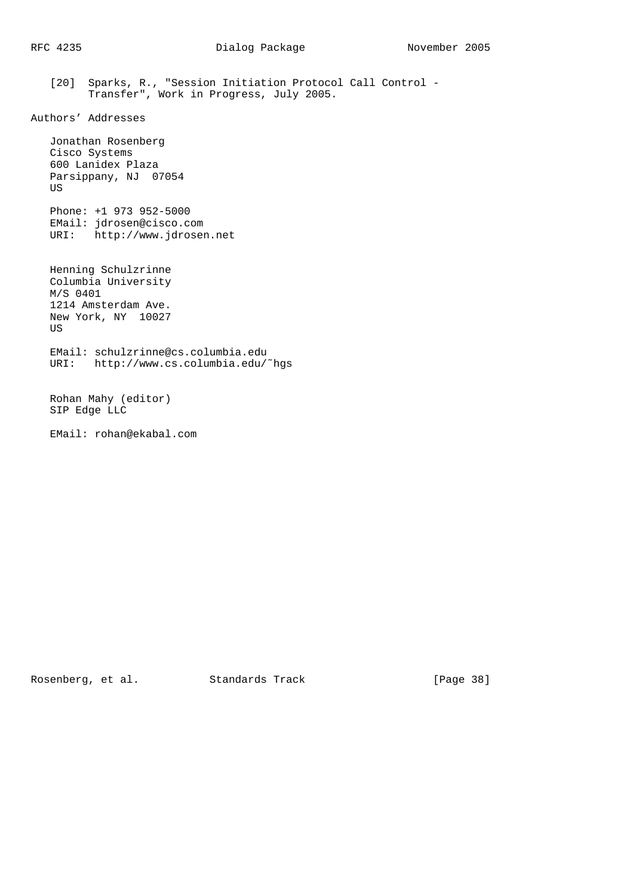[20] Sparks, R., "Session Initiation Protocol Call Control - Transfer", Work in Progress, July 2005.

```
Authors' Addresses
```
 Jonathan Rosenberg Cisco Systems 600 Lanidex Plaza Parsippany, NJ 07054 US

 Phone: +1 973 952-5000 EMail: jdrosen@cisco.com URI: http://www.jdrosen.net

 Henning Schulzrinne Columbia University M/S 0401 1214 Amsterdam Ave. New York, NY 10027 US EMail: schulzrinne@cs.columbia.edu URI: http://www.cs.columbia.edu/˜hgs

 Rohan Mahy (editor) SIP Edge LLC

EMail: rohan@ekabal.com

Rosenberg, et al. Standards Track [Page 38]